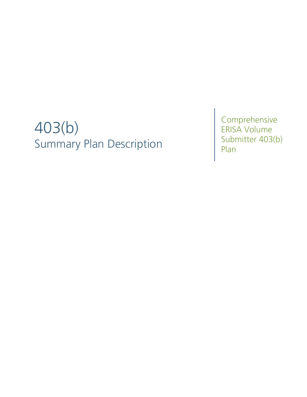# 403(b) Summary Plan Description

**Comprehensive** ERISA Volume Submitter 403(b) Plan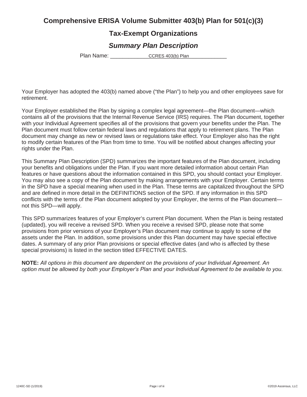## **Comprehensive ERISA Volume Submitter 403(b) Plan for 501(c)(3)**

## **Tax-Exempt Organizations**

## *Summary Plan Description*

Plan Name:

CCRES 403(b) Plan

Your Employer has adopted the 403(b) named above ("the Plan") to help you and other employees save for retirement.

Your Employer established the Plan by signing a complex legal agreement—the Plan document—which contains all of the provisions that the Internal Revenue Service (IRS) requires. The Plan document, together with your Individual Agreement specifies all of the provisions that govern your benefits under the Plan. The Plan document must follow certain federal laws and regulations that apply to retirement plans. The Plan document may change as new or revised laws or regulations take effect. Your Employer also has the right to modify certain features of the Plan from time to time. You will be notified about changes affecting your rights under the Plan.

This Summary Plan Description (SPD) summarizes the important features of the Plan document, including your benefits and obligations under the Plan. If you want more detailed information about certain Plan features or have questions about the information contained in this SPD, you should contact your Employer. You may also see a copy of the Plan document by making arrangements with your Employer. Certain terms in the SPD have a special meaning when used in the Plan. These terms are capitalized throughout the SPD and are defined in more detail in the DEFINITIONS section of the SPD. If any information in this SPD conflicts with the terms of the Plan document adopted by your Employer, the terms of the Plan document not this SPD—will apply.

This SPD summarizes features of your Employer's current Plan document. When the Plan is being restated (updated), you will receive a revised SPD. When you receive a revised SPD, please note that some provisions from prior versions of your Employer's Plan document may continue to apply to some of the assets under the Plan. In addition, some provisions under this Plan document may have special effective dates. A summary of any prior Plan provisions or special effective dates (and who is affected by these special provisions) is listed in the section titled EFFECTIVE DATES.

**NOTE:** *All options in this document are dependent on the provisions of your Individual Agreement. An option must be allowed by both your Employer's Plan and your Individual Agreement to be available to you.*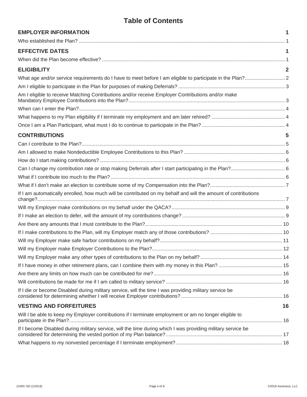## **Table of Contents**

| <b>EMPLOYER INFORMATION</b>                                                                                    | 1            |
|----------------------------------------------------------------------------------------------------------------|--------------|
|                                                                                                                |              |
| <b>EFFECTIVE DATES</b>                                                                                         | 1            |
|                                                                                                                |              |
| <b>ELIGIBILITY</b>                                                                                             | $\mathbf{2}$ |
|                                                                                                                |              |
|                                                                                                                |              |
| Am I eligible to receive Matching Contributions and/or receive Employer Contributions and/or make              |              |
|                                                                                                                |              |
|                                                                                                                |              |
|                                                                                                                |              |
| <b>CONTRIBUTIONS</b>                                                                                           | 5            |
|                                                                                                                |              |
|                                                                                                                |              |
|                                                                                                                |              |
|                                                                                                                |              |
|                                                                                                                |              |
|                                                                                                                |              |
| If I am automatically enrolled, how much will be contributed on my behalf and will the amount of contributions |              |
|                                                                                                                |              |
|                                                                                                                |              |
|                                                                                                                |              |
|                                                                                                                |              |
|                                                                                                                |              |
|                                                                                                                |              |
|                                                                                                                |              |
|                                                                                                                |              |
|                                                                                                                |              |
|                                                                                                                |              |
| If I die or become Disabled during military service, will the time I was providing military service be         |              |
| <b>VESTING AND FORFEITURES</b>                                                                                 | 16           |
| Will I be able to keep my Employer contributions if I terminate employment or am no longer eligible to         |              |
| If I become Disabled during military service, will the time during which I was providing military service be   |              |
|                                                                                                                |              |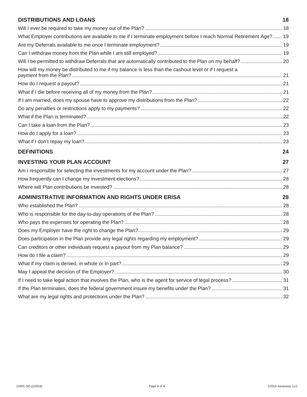### **DISTRIBUTIONS AND LOANS** 18

| What Employer contributions are available to me if I terminate employment before I reach Normal Retirement Age? 19 |    |
|--------------------------------------------------------------------------------------------------------------------|----|
|                                                                                                                    |    |
|                                                                                                                    |    |
| Will I be permitted to withdraw Deferrals that are automatically contributed to the Plan on my behalf? 20          |    |
| How will my money be distributed to me if my balance is less than the cashout level or if I request a              |    |
|                                                                                                                    |    |
|                                                                                                                    |    |
|                                                                                                                    |    |
|                                                                                                                    |    |
|                                                                                                                    |    |
|                                                                                                                    |    |
|                                                                                                                    |    |
|                                                                                                                    |    |
| <b>DEFINITIONS</b>                                                                                                 | 24 |
| <b>INVESTING YOUR PLAN ACCOUNT</b>                                                                                 | 27 |
|                                                                                                                    |    |
|                                                                                                                    |    |
|                                                                                                                    |    |
| <b>ADMINISTRATIVE INFORMATION AND RIGHTS UNDER ERISA</b>                                                           | 28 |
|                                                                                                                    |    |
|                                                                                                                    |    |
|                                                                                                                    |    |
|                                                                                                                    |    |
|                                                                                                                    |    |
|                                                                                                                    |    |
|                                                                                                                    |    |
|                                                                                                                    |    |
|                                                                                                                    |    |
|                                                                                                                    |    |
|                                                                                                                    |    |
|                                                                                                                    |    |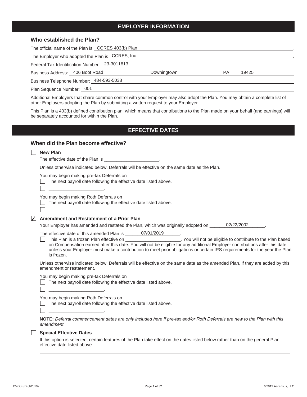### **EMPLOYER INFORMATION**

#### **Who established the Plan?**

| The official name of the Plan is CCRES 403(b) Plan |             |    |       |  |
|----------------------------------------------------|-------------|----|-------|--|
| The Employer who adopted the Plan is CCRES, Inc.   |             |    |       |  |
| Federal Tax Identification Number: 23-3011813      |             |    |       |  |
| Business Address: 406 Boot Road                    | Downingtown | РA | 19425 |  |
| Business Telephone Number: 484-593-5038            |             |    |       |  |
| Plan Sequence Number: 001                          |             |    |       |  |

Additional Employers that share common control with your Employer may also adopt the Plan. You may obtain a complete list of other Employers adopting the Plan by submitting a written request to your Employer.

This Plan is a 403(b) defined contribution plan, which means that contributions to the Plan made on your behalf (and earnings) will be separately accounted for within the Plan.

### **EFFECTIVE DATES**

#### **When did the Plan become effective?**

#### **New Plan**

The effective date of the Plan is \_\_\_

Unless otherwise indicated below, Deferrals will be effective on the same date as the Plan.

You may begin making pre-tax Deferrals on

 $\Box$  The next payroll date following the effective date listed above.

You may begin making Roth Deferrals on

 $\overline{\phantom{a}}$  , which is a set of the set of the set of the set of the set of the set of the set of the set of the set of the set of the set of the set of the set of the set of the set of the set of the set of the set of th

 $\Box$  The next payroll date following the effective date listed above.

 $\overline{\phantom{a}}$  , which is a set of the set of the set of the set of the set of the set of the set of the set of the set of the set of the set of the set of the set of the set of the set of the set of the set of the set of th

#### **Amendment and Restatement of a Prior Plan**  ✔

Your Employer has amended and restated the Plan, which was originally adopted on  $\_\_$ 02/22/2002

The effective date of this amended Plan is \_\_\_\_\_\_\_\_\_\_\_\_\_\_\_\_\_\_\_\_\_\_. 07/01/2019

This Plan is a frozen Plan effective on \_\_\_\_\_\_\_\_\_\_\_\_\_\_\_\_\_\_\_\_\_\_\_. You will not be eligible to contribute to the Plan based on Compensation earned after this date. You will not be eligible for any additional Employer contributions after this date unless your Employer must make a contribution to meet prior obligations or certain IRS requirements for the year the Plan is frozen.

Unless otherwise indicated below, Deferrals will be effective on the same date as the amended Plan, if they are added by this amendment or restatement.

You may begin making pre-tax Deferrals on

 $\Box$  The next payroll date following the effective date listed above.

You may begin making Roth Deferrals on

 $\overline{\phantom{a}}$  , which is a set of the set of the set of the set of the set of the set of the set of the set of the set of the set of the set of the set of the set of the set of the set of the set of the set of the set of th

 $\Box$  The next payroll date following the effective date listed above.

 $\overline{\phantom{a}}$  , which is a set of the set of the set of the set of the set of the set of the set of the set of the set of the set of the set of the set of the set of the set of the set of the set of the set of the set of th

**NOTE:** *Deferral commencement dates are only included here if pre-tax and/or Roth Deferrals are new to the Plan with this amendment.*

#### **Special Effective Dates**

If this option is selected, certain features of the Plan take effect on the dates listed below rather than on the general Plan effective date listed above.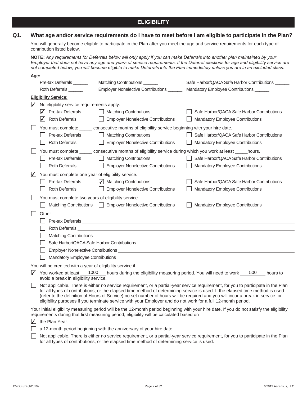### **ELIGIBILITY**

### **Q1. What age and/or service requirements do I have to meet before I am eligible to participate in the Plan?**

You will generally become eligible to participate in the Plan after you meet the age and service requirements for each type of contribution listed below.

**NOTE:** *Any requirements for Deferrals below will only apply if you can make Deferrals into another plan maintained by your Employer that does not have any age and years of service requirements. If the Deferral elections for age and eligibility service are not completed below, you will become eligible to make Deferrals into the Plan immediately unless you are in an excluded class.*

| <u>Age:</u>                         |                                                                                                                                                                                                                                                                                                                                                                                                                                                                                                                       |                                                                                                               |                                                                                                                                            |  |  |
|-------------------------------------|-----------------------------------------------------------------------------------------------------------------------------------------------------------------------------------------------------------------------------------------------------------------------------------------------------------------------------------------------------------------------------------------------------------------------------------------------------------------------------------------------------------------------|---------------------------------------------------------------------------------------------------------------|--------------------------------------------------------------------------------------------------------------------------------------------|--|--|
|                                     | Pre-tax Deferrals                                                                                                                                                                                                                                                                                                                                                                                                                                                                                                     | Matching Contributions                                                                                        | Safe Harbor/QACA Safe Harbor Contributions                                                                                                 |  |  |
|                                     | Roth Deferrals _______                                                                                                                                                                                                                                                                                                                                                                                                                                                                                                | Employer Nonelective Contributions ______                                                                     | Mandatory Employee Contributions ______                                                                                                    |  |  |
| <b>Eligibility Service:</b>         |                                                                                                                                                                                                                                                                                                                                                                                                                                                                                                                       |                                                                                                               |                                                                                                                                            |  |  |
|                                     | No eligibility service requirements apply.                                                                                                                                                                                                                                                                                                                                                                                                                                                                            |                                                                                                               |                                                                                                                                            |  |  |
|                                     | Pre-tax Deferrals                                                                                                                                                                                                                                                                                                                                                                                                                                                                                                     | Matching Contributions                                                                                        | Safe Harbor/QACA Safe Harbor Contributions                                                                                                 |  |  |
| M                                   | <b>Roth Deferrals</b>                                                                                                                                                                                                                                                                                                                                                                                                                                                                                                 | <b>Employer Nonelective Contributions</b>                                                                     | <b>Mandatory Employee Contributions</b>                                                                                                    |  |  |
|                                     |                                                                                                                                                                                                                                                                                                                                                                                                                                                                                                                       | You must complete ______ consecutive months of eligibility service beginning with your hire date.             |                                                                                                                                            |  |  |
|                                     | Pre-tax Deferrals                                                                                                                                                                                                                                                                                                                                                                                                                                                                                                     | <b>Matching Contributions</b>                                                                                 | Safe Harbor/QACA Safe Harbor Contributions                                                                                                 |  |  |
|                                     | <b>Roth Deferrals</b>                                                                                                                                                                                                                                                                                                                                                                                                                                                                                                 | <b>Employer Nonelective Contributions</b>                                                                     | <b>Mandatory Employee Contributions</b>                                                                                                    |  |  |
|                                     |                                                                                                                                                                                                                                                                                                                                                                                                                                                                                                                       | You must complete ______ consecutive months of eligibility service during which you work at least _____hours. |                                                                                                                                            |  |  |
|                                     | Pre-tax Deferrals                                                                                                                                                                                                                                                                                                                                                                                                                                                                                                     | <b>Matching Contributions</b>                                                                                 | Safe Harbor/QACA Safe Harbor Contributions                                                                                                 |  |  |
|                                     | <b>Roth Deferrals</b>                                                                                                                                                                                                                                                                                                                                                                                                                                                                                                 | <b>Employer Nonelective Contributions</b>                                                                     | <b>Mandatory Employee Contributions</b>                                                                                                    |  |  |
|                                     |                                                                                                                                                                                                                                                                                                                                                                                                                                                                                                                       |                                                                                                               |                                                                                                                                            |  |  |
| $\vert \sqrt{} \vert$               |                                                                                                                                                                                                                                                                                                                                                                                                                                                                                                                       | You must complete one year of eligibility service.                                                            | Safe Harbor/QACA Safe Harbor Contributions                                                                                                 |  |  |
|                                     | Pre-tax Deferrals                                                                                                                                                                                                                                                                                                                                                                                                                                                                                                     | $\sqrt{\phantom{a}}$ Matching Contributions                                                                   |                                                                                                                                            |  |  |
|                                     | <b>Roth Deferrals</b>                                                                                                                                                                                                                                                                                                                                                                                                                                                                                                 | <b>Employer Nonelective Contributions</b>                                                                     | Mandatory Employee Contributions                                                                                                           |  |  |
|                                     |                                                                                                                                                                                                                                                                                                                                                                                                                                                                                                                       | You must complete two years of eligibility service.                                                           |                                                                                                                                            |  |  |
|                                     | <b>Matching Contributions</b>                                                                                                                                                                                                                                                                                                                                                                                                                                                                                         | Employer Nonelective Contributions                                                                            | Mandatory Employee Contributions                                                                                                           |  |  |
| Other.                              |                                                                                                                                                                                                                                                                                                                                                                                                                                                                                                                       |                                                                                                               |                                                                                                                                            |  |  |
|                                     |                                                                                                                                                                                                                                                                                                                                                                                                                                                                                                                       |                                                                                                               |                                                                                                                                            |  |  |
|                                     |                                                                                                                                                                                                                                                                                                                                                                                                                                                                                                                       |                                                                                                               |                                                                                                                                            |  |  |
|                                     |                                                                                                                                                                                                                                                                                                                                                                                                                                                                                                                       |                                                                                                               |                                                                                                                                            |  |  |
|                                     |                                                                                                                                                                                                                                                                                                                                                                                                                                                                                                                       |                                                                                                               |                                                                                                                                            |  |  |
|                                     |                                                                                                                                                                                                                                                                                                                                                                                                                                                                                                                       |                                                                                                               |                                                                                                                                            |  |  |
|                                     |                                                                                                                                                                                                                                                                                                                                                                                                                                                                                                                       |                                                                                                               |                                                                                                                                            |  |  |
|                                     | You will be credited with a year of eligibility service if                                                                                                                                                                                                                                                                                                                                                                                                                                                            |                                                                                                               |                                                                                                                                            |  |  |
| $\vert \sqrt{} \vert$               | avoid a break in eligibility service.                                                                                                                                                                                                                                                                                                                                                                                                                                                                                 |                                                                                                               | You worked at least 1000 hours during the eligibility measuring period. You will need to work ___ 500 hours to                             |  |  |
|                                     | Not applicable. There is either no service requirement, or a partial-year service requirement, for you to participate in the Plan<br>for all types of contributions, or the elapsed time method of determining service is used. If the elapsed time method is used<br>(refer to the definition of Hours of Service) no set number of hours will be required and you will incur a break in service for<br>eligibility purposes if you terminate service with your Employer and do not work for a full 12-month period. |                                                                                                               |                                                                                                                                            |  |  |
|                                     |                                                                                                                                                                                                                                                                                                                                                                                                                                                                                                                       | requirements during that first measuring period, eligibility will be calculated based on                      | Your initial eligibility measuring period will be the 12-month period beginning with your hire date. If you do not satisfy the eligibility |  |  |
| $\sqrt{\phantom{a}}$ the Plan Year. |                                                                                                                                                                                                                                                                                                                                                                                                                                                                                                                       |                                                                                                               |                                                                                                                                            |  |  |

a 12-month period beginning with the anniversary of your hire date.

 Not applicable. There is either no service requirement, or a partial-year service requirement, for you to participate in the Plan for all types of contributions, or the elapsed time method of determining service is used.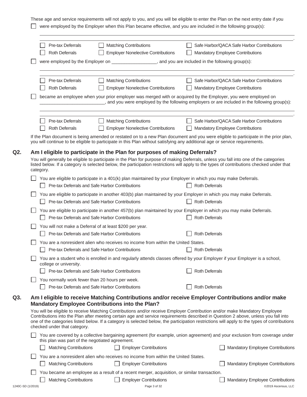These age and service requirements will not apply to you, and you will be eligible to enter the Plan on the next entry date if you were employed by the Employer when this Plan became effective, and you are included in the following group(s): . Pre-tax Deferrals Matching Contributions Safe Harbor/QACA Safe Harbor Contributions Roth Deferrals Employer Nonelective Contributions Mandatory Employee Contributions were employed by the Employer on \_\_\_\_\_\_\_\_\_\_\_\_\_\_\_, and you are included in the following group(s): . Pre-tax Deferrals Matching Contributions Safe Harbor/QACA Safe Harbor Contributions Roth Deferrals Employer Nonelective Contributions Mandatory Employee Contributions became an employee when your prior employer was merged with or acquired by the Employer, you were employed on \_\_\_\_\_\_\_\_\_\_\_\_\_\_\_\_\_\_\_\_\_\_\_\_\_\_, and you were employed by the following employers or are included in the following group(s): . Pre-tax Deferrals Matching Contributions Safe Harbor/QACA Safe Harbor Contributions Roth Deferrals Employer Nonelective Contributions Mandatory Employee Contributions If the Plan document is being amended or restated on to a new Plan document and you were eligible to participate in the prior plan, you will continue to be eligible to participate in this Plan without satisfying any additional age or service requirements. **Q2. Am I eligible to participate in the Plan for purposes of making Deferrals?**  You will generally be eligible to participate in the Plan for purpose of making Deferrals, unless you fall into one of the categories listed below. If a category is selected below, the participation restrictions will apply to the types of contributions checked under that category. You are eligible to participate in a 401(k) plan maintained by your Employer in which you may make Deferrals. **Pre-tax Deferrals and Safe Harbor Contributions** Roth Deferrals Roth Deferrals  $\Box$  You are eligible to participate in another 403(b) plan maintained by your Employer in which you may make Deferrals. **Pre-tax Deferrals and Safe Harbor Contributions** Roth Deferrals Roth Deferrals  $\Box$  You are eligible to participate in another 457(b) plan maintained by your Employer in which you may make Deferrals. **Pre-tax Deferrals and Safe Harbor Contributions** Roth Deferrals You will not make a Deferral of at least \$200 per year. **Pre-tax Deferrals and Safe Harbor Contributions** Roth Deferrals  $\Box$  You are a nonresident alien who receives no income from within the United States. **Pre-tax Deferrals and Safe Harbor Contributions** Roth Deferrals Roth Deferrals You are a student who is enrolled in and regularly attends classes offered by your Employer if your Employer is a school, college or university. **Pre-tax Deferrals and Safe Harbor Contributions** Roth Deferrals Roth Deferrals  $\Box$  You normally work fewer than 20 hours per week. Pre-tax Deferrals and Safe Harbor Contributions Roth Deferrals **Q3. Am I eligible to receive Matching Contributions and/or receive Employer Contributions and/or make Mandatory Employee Contributions into the Plan?**  You will be eligible to receive Matching Contributions and/or receive Employer Contribution and/or make Mandatory Employee Contributions into the Plan after meeting certain age and service requirements described in Question 2 above, unless you fall into one of the categories listed below. If a category is selected below, the participation restrictions will apply to the types of contributions checked under that category. You are covered by a collective bargaining agreement (for example, union agreement) and your exclusion from coverage under this plan was part of the negotiated agreement. Matching Contributions **Example 2** Employer Contributions **Contributions** Mandatory Employee Contributions You are a nonresident alien who receives no income from within the United States. Matching Contributions **Example 2** Employer Contributions **Contributions** Mandatory Employee Contributions You became an employee as a result of a recent merger, acquisition, or similar transaction.

| 1240C-SD (1/2019) |  |
|-------------------|--|

Matching Contributions **Employer Contributions** Employee Contributions Mandatory Employee Contributions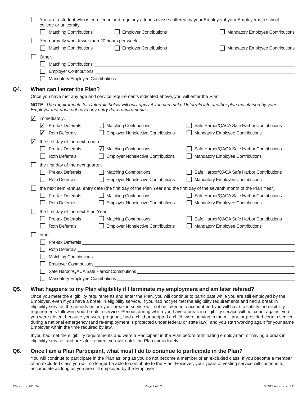|                          | You are a student who is enrolled in and regularly attends classes offered by your Employer if your Employer is a school,<br>college or university. |                                                                                                                                                                                                                                |                                                                                                                           |  |
|--------------------------|-----------------------------------------------------------------------------------------------------------------------------------------------------|--------------------------------------------------------------------------------------------------------------------------------------------------------------------------------------------------------------------------------|---------------------------------------------------------------------------------------------------------------------------|--|
|                          | <b>Matching Contributions</b>                                                                                                                       | <b>Employer Contributions</b>                                                                                                                                                                                                  | <b>Mandatory Employee Contributions</b>                                                                                   |  |
|                          | You normally work fewer than 20 hours per week.                                                                                                     |                                                                                                                                                                                                                                |                                                                                                                           |  |
|                          | <b>Matching Contributions</b>                                                                                                                       | <b>Employer Contributions</b>                                                                                                                                                                                                  | <b>Mandatory Employee Contributions</b>                                                                                   |  |
|                          | Other.                                                                                                                                              |                                                                                                                                                                                                                                |                                                                                                                           |  |
|                          |                                                                                                                                                     |                                                                                                                                                                                                                                |                                                                                                                           |  |
|                          | <b>Employer Contributions</b>                                                                                                                       |                                                                                                                                                                                                                                |                                                                                                                           |  |
|                          |                                                                                                                                                     | Mandatory Employee Contributions expansion of the contribution of the contributions of the contributions of the contributions of the contributions of the contributions of the contributions of the contributions of the contr |                                                                                                                           |  |
| Q4.                      | When can I enter the Plan?                                                                                                                          |                                                                                                                                                                                                                                |                                                                                                                           |  |
|                          |                                                                                                                                                     | Once you have met any age and service requirements indicated above, you will enter the Plan:                                                                                                                                   |                                                                                                                           |  |
|                          | Employer that does not have any entry date requirements.                                                                                            |                                                                                                                                                                                                                                | NOTE: The requirements for Deferrals below will only apply if you can make Deferrals into another plan maintained by your |  |
| $\vert \checkmark \vert$ | immediately.                                                                                                                                        |                                                                                                                                                                                                                                |                                                                                                                           |  |
|                          | Pre-tax Deferrals                                                                                                                                   | <b>Matching Contributions</b>                                                                                                                                                                                                  | Safe Harbor/QACA Safe Harbor Contributions                                                                                |  |
|                          | <b>Roth Deferrals</b>                                                                                                                               | <b>Employer Nonelective Contributions</b>                                                                                                                                                                                      | Mandatory Employee Contributions                                                                                          |  |
| V                        | the first day of the next month.                                                                                                                    |                                                                                                                                                                                                                                |                                                                                                                           |  |
|                          | <b>Pre-tax Deferrals</b>                                                                                                                            | <b>Matching Contributions</b>                                                                                                                                                                                                  | Safe Harbor/QACA Safe Harbor Contributions                                                                                |  |
|                          | <b>Roth Deferrals</b>                                                                                                                               | <b>Employer Nonelective Contributions</b>                                                                                                                                                                                      | <b>Mandatory Employee Contributions</b>                                                                                   |  |
|                          | the first day of the next quarter.                                                                                                                  |                                                                                                                                                                                                                                |                                                                                                                           |  |
|                          | Pre-tax Deferrals                                                                                                                                   | <b>Matching Contributions</b>                                                                                                                                                                                                  | Safe Harbor/QACA Safe Harbor Contributions                                                                                |  |
|                          | <b>Roth Deferrals</b>                                                                                                                               | <b>Employer Nonelective Contributions</b>                                                                                                                                                                                      | <b>Mandatory Employee Contributions</b>                                                                                   |  |
|                          |                                                                                                                                                     |                                                                                                                                                                                                                                | the next semi-annual entry date (the first day of the Plan Year and the first day of the seventh month of the Plan Year). |  |
|                          | Pre-tax Deferrals                                                                                                                                   | <b>Matching Contributions</b>                                                                                                                                                                                                  | Safe Harbor/QACA Safe Harbor Contributions                                                                                |  |
|                          | <b>Roth Deferrals</b>                                                                                                                               | <b>Employer Nonelective Contributions</b>                                                                                                                                                                                      | Mandatory Employee Contributions                                                                                          |  |
|                          | the first day of the next Plan Year.                                                                                                                |                                                                                                                                                                                                                                |                                                                                                                           |  |
|                          | Pre-tax Deferrals                                                                                                                                   | <b>Matching Contributions</b>                                                                                                                                                                                                  | Safe Harbor/QACA Safe Harbor Contributions                                                                                |  |
|                          | <b>Roth Deferrals</b>                                                                                                                               | <b>Employer Nonelective Contributions</b>                                                                                                                                                                                      | Mandatory Employee Contributions                                                                                          |  |
|                          | other.                                                                                                                                              |                                                                                                                                                                                                                                |                                                                                                                           |  |
|                          |                                                                                                                                                     |                                                                                                                                                                                                                                |                                                                                                                           |  |
|                          | <b>Roth Deferrals</b>                                                                                                                               |                                                                                                                                                                                                                                |                                                                                                                           |  |
|                          |                                                                                                                                                     | Matching Contributions National Contributions National Contributions National Contributions National Contributions                                                                                                             |                                                                                                                           |  |
|                          |                                                                                                                                                     | Employer Contributions experience of the contributions of the contributions of the contributions of the contributions of the contributions of the contributions of the contributions of the contributions of the contributions |                                                                                                                           |  |
|                          |                                                                                                                                                     | Safe Harbor/QACA Safe Harbor Contributions experience of the state of the state of the state of the state of the state of the state of the state of the state of the state of the state of the state of the state of the state |                                                                                                                           |  |
|                          |                                                                                                                                                     |                                                                                                                                                                                                                                |                                                                                                                           |  |

### **Q5. What happens to my Plan eligibility if I terminate my employment and am later rehired?**

Once you meet the eligibility requirements and enter the Plan, you will continue to participate while you are still employed by the Employer, even if you have a break in eligibility service. If you had not yet met the eligibility requirements and had a break in eligibility service, the periods before your break in service will not be taken into account and you will have to satisfy the eligibility requirements following your break in service. Periods during which you have a break in eligibility service will not count against you if you were absent because you were pregnant, had a child or adopted a child, were serving in the military, or provided certain service during a national emergency (and re-employment is protected under federal or state law), and you start working again for your same Employer within the time required by law.

If you had met the eligibility requirements and were a Participant in the Plan before terminating employment or having a break in eligibility service, and are later rehired, you will enter the Plan immediately.

### **Q6. Once I am a Plan Participant, what must I do to continue to participate in the Plan?**

You will continue to participate in the Plan as long as you do not become a member of an excluded class. If you become a member of an excluded class you will no longer be able to contribute to the Plan. However, your years of vesting service will continue to accumulate as long as you are still employed by the Employer.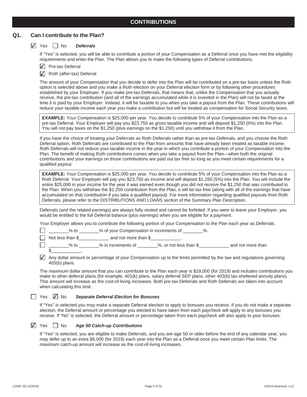#### **Q1. Can I contribute to the Plan?**

#### Yes No *Deferrals* ✔

If "Yes" is selected, you will be able to contribute a portion of your Compensation as a Deferral once you have met the eligibility requirements and enter the Plan. The Plan allows you to make the following types of Deferral contributions.

 $\sqrt{\phantom{a}}$  Pre-tax Deferral

 $\sqrt{\phantom{a}}$  Roth (after-tax) Deferral

The amount of your Compensation that you decide to defer into the Plan will be contributed on a pre-tax basis unless the Roth option is selected above and you make a Roth election on your Deferral election form or by following other procedures established by your Employer. If you make pre-tax Deferrals, that means that, unlike the Compensation that you actually receive, the pre-tax contribution (and all of the earnings accumulated while it is invested in the Plan) will not be taxed at the time it is paid by your Employer. Instead, it will be taxable to you when you take a payout from the Plan. These contributions will reduce your taxable income each year you make a contribution but will be treated as compensation for Social Security taxes.

**EXAMPLE:** Your Compensation is \$25,000 per year. You decide to contribute 5% of your Compensation into the Plan as a pre-tax Deferral. Your Employer will pay you \$23,750 as gross taxable income and will deposit \$1,250 (5%) into the Plan. You will not pay taxes on the \$1,250 (plus earnings on the \$1,250) until you withdraw it from the Plan.

If you have the choice of treating your Deferrals as Roth Deferrals rather than as pre-tax Deferrals, and you choose the Roth Deferral option, Roth Deferrals are contributed to the Plan from amounts that have already been treated as taxable income. Roth Deferrals will not reduce your taxable income in the year in which you contribute a portion of your Compensation into the Plan. The benefit of making Roth contributions comes when you take a payout from the Plan—when both the original contributions and your earnings on those contributions are paid out tax free so long as you meet certain requirements for a qualified payout.

**EXAMPLE:** Your Compensation is \$25,000 per year. You decide to contribute 5% of your Compensation into the Plan as a Roth Deferral. Your Employer will pay you \$23,750 as income and will deposit \$1,250 (5%) into the Plan. You will include the entire \$25,000 in your income for the year it was earned even though you did not receive the \$1,250 that was contributed to the Plan. When you withdraw the \$1,250 contribution from the Plan, it will be tax-free (along with all of the earnings that have accumulated on that contribution if you take a qualified payout). For more information regarding qualified payouts from Roth Deferrals, please refer to the DISTRIBUTIONS AND LOANS section of the Summary Plan Description.

Deferrals (and the related earnings) are always fully vested and cannot be forfeited. If you were to leave your Employer, you would be entitled to the full Deferral balance (plus earnings) when you are eligible for a payment.

Your Employer allows you to contribute the following portion of your Compensation to the Plan each year as Deferrals.

\_\_\_\_\_\_\_\_% to \_\_\_\_\_\_\_\_% of your Compensation in increments of \_\_\_\_\_\_\_\_%.

Not less than \$\_\_\_\_\_\_\_\_\_\_\_\_ and not more than \$\_\_\_\_\_\_\_\_\_\_\_\_.

 $\frac{1}{2}$ % to  $\frac{1}{2}$ % in increments of  $\frac{1}{2}$ %, or not less than \$ $\frac{1}{2}$  and not more than  $\frac{1}{2}$ .

 $\overline{\blacktriangle}$  Any dollar amount or percentage of your Compensation up to the limits permitted by the law and regulations governing 403(b) plans.

The maximum dollar amount that you can contribute to the Plan each year is \$19,000 (for 2019) and includes contributions you make to other deferral plans (for example, 401(k) plans, salary deferral SEP plans, other 403(b) tax-sheltered annuity plans). This amount will increase as the cost-of-living increases. Both pre-tax Deferrals and Roth Deferrals are taken into account when calculating this limit.

#### **Separate Deferral Election for Bonuses**  $\Box$  Yes  $\bigvee$  No

If "Yes" is selected you may make a separate Deferral election to apply to bonuses you receive. If you do not make a separate election, the Deferral amount or percentage you elected to have taken from each paycheck will apply to any bonuses you receive. If "No" is selected, the Deferral amount or percentage taken from each paycheck will also apply to your bonuses.

**Age 50 Catch-up Contributions**  $\sqrt{ }$  Yes  $\Box$  No

If "Yes" is selected, you are eligible to make Deferrals, and you are age 50 or older before the end of any calendar year, you may defer up to an extra \$6,000 (for 2019) each year into the Plan as a Deferral once you meet certain Plan limits. The maximum catch-up amount will increase as the cost-of-living increases.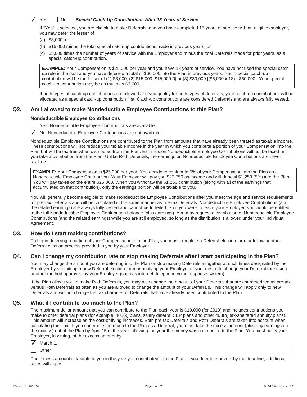#### Special Catch-Up Contributions After 15 Years of Service  $\nabla$  Yes  $\nabla$  No

If "Yes" is selected, you are eligible to make Deferrals, and you have completed 15 years of service with an eligible employer, you may defer the lesser of

- (a) \$3,000; or
- (b) \$15,000 minus the total special catch-up contributions made in previous years; or
- (c) \$5,000 times the number of years of service with the Employer and minus the total Deferrals made for prior years, as a special catch-up contribution.

**EXAMPLE:** Your Compensation is \$25,000 per year and you have 18 years of service. You have not used the special catchup rule in the past and you have deferred a total of \$60,000 into the Plan in previous years. Your special catch-up contribution will be the lesser of (1) \$3,000, (2) \$15,000 [\$15,000-0] or (3) \$30,000 [(\$5,000 x 18) - \$60,000]. Your special catch-up contribution may be as much as \$3,000.

If both types of catch-up contributions are allowed and you qualify for both types of deferrals, your catch-up contributions will be allocated as a special catch-up contribution first. Catch-up contributions are considered Deferrals and are always fully vested.

#### **Q2. Am I allowed to make Nondeductible Employee Contributions to this Plan?**

#### **Nondeductible Employee Contributions**

Yes, Nondeductible Employee Contributions are available.

 $\sqrt{\phantom{a}}$  No, Nondeductible Employee Contributions are not available.

Nondeductible Employee Contributions are contributed to the Plan from amounts that have already been treated as taxable income. These contributions will not reduce your taxable income in the year in which you contribute a portion of your Compensation into the Plan but will be tax-free when distributed from the Plan. Earnings on Nondeductible Employee Contributions will not be taxed until you take a distribution from the Plan. Unlike Roth Deferrals, the earnings on Nondeductible Employee Contributions are never tax-free.

**EXAMPLE:** Your Compensation is \$25,000 per year. You decide to contribute 5% of your Compensation into the Plan as a Nondeductible Employee Contribution. Your Employer will pay you \$23,750 as income and will deposit \$1,250 (5%) into the Plan. You will pay taxes on the entire \$25,000. When you withdraw the \$1,250 contribution (along with all of the earnings that accumulated on that contribution), only the earnings portion will be taxable to you.

You will generally become eligible to make Nondeductible Employee Contributions after you meet the age and service requirements for pre-tax Deferrals and will be calculated in the same manner as pre-tax Deferrals. Nondeductible Employee Contributions (and the related earnings) are always fully vested and cannot be forfeited. So if you were to leave your Employer, you would be entitled to the full Nondeductible Employee Contribution balance (plus earnings). You may request a distribution of Nondeductible Employee Contributions (and the related earnings) while you are still employed, so long as the distribution is allowed under your Individual Agreement.

#### **Q3. How do I start making contributions?**

To begin deferring a portion of your Compensation into the Plan, you must complete a Deferral election form or follow another Deferral election process provided to you by your Employer.

#### **Q4. Can I change my contribution rate or stop making Deferrals after I start participating in the Plan?**

You may change the amount you are deferring into the Plan or stop making Deferrals altogether at such times designated by the Employer by submitting a new Deferral election form or notifying your Employer of your desire to change your Deferral rate using another method approved by your Employer (such as internet, telephone voice response system).

If the Plan allows you to make Roth Deferrals, you may also change the amount of your Deferrals that are characterized as pre-tax versus Roth Deferrals as often as you are allowed to change the amount of your Deferrals. This change will apply only to new Deferrals and will not change the tax character of Deferrals that have already been contributed to the Plan.

#### **Q5. What if I contribute too much to the Plan?**

The maximum dollar amount that you can contribute to the Plan each year is \$19,000 (for 2019) and includes contributions you make to other deferral plans (for example, 401(k) plans, salary deferral SEP plans and other 403(b) tax-sheltered annuity plans). This amount will increase as the cost-of-living increases. Both pre-tax Deferrals and Roth Deferrals are taken into account when calculating this limit. If you contribute too much to the Plan as a Deferral, you must take the excess amount (plus any earnings on the excess) out of the Plan by April 15 of the year following the year the money was contributed to the Plan. You must notify your Employer, in writing, of the excess amount by

| $\sqrt{ }$ March 1. |  |
|---------------------|--|
|---------------------|--|

Other <u>the contract of the contract of the contract of the contract of the contract of the contract of the contract of the contract of the contract of the contract of the contract of the contract of the contract of the con</u>

The excess amount is taxable to you in the year you contributed it to the Plan. If you do not remove it by the deadline, additional taxes will apply.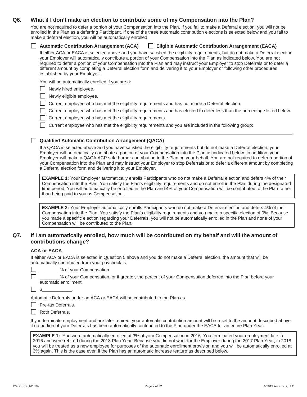#### **Q6. What if I don't make an election to contribute some of my Compensation into the Plan?**

You are not required to defer a portion of your Compensation into the Plan. If you fail to make a Deferral election, you will not be enrolled in the Plan as a deferring Participant. If one of the three automatic contribution elections is selected below and you fail to make a deferral election, you will be automatically enrolled.

 **Automatic Contribution Arrangement (ACA) Eligible Automatic Contribution Arrangement (EACA)** 

If either ACA or EACA is selected above and you have satisfied the eligibility requirements, but do not make a Deferral election, your Employer will automatically contribute a portion of your Compensation into the Plan as indicated below. You are not required to defer a portion of your Compensation into the Plan and may instruct your Employer to stop Deferrals or to defer a different amount by completing a Deferral election form and delivering it to your Employer or following other procedures established by your Employer.

You will be automatically enrolled if you are a:

Newly hired employee.

Newly eligible employee.

Current employee who has met the eligibility requirements and has not made a Deferral election.

Current employee who has met the eligibility requirements and has elected to defer less than the percentage listed below.

<u>. In the second control of the second control of the second control of the second control of the second control of</u>

 $\Box$  Current employee who has met the eligibility requirements.

 $\Box$  Current employee who has met the eligibility requirements and you are included in the following group:

#### **Qualified Automatic Contribution Arrangement (QACA)**

If a QACA is selected above and you have satisfied the eligibility requirements but do not make a Deferral election, your Employer will automatically contribute a portion of your Compensation into the Plan as indicated below. In addition, your Employer will make a QACA ACP safe harbor contribution to the Plan on your behalf. You are not required to defer a portion of your Compensation into the Plan and may instruct your Employer to stop Deferrals or to defer a different amount by completing a Deferral election form and delivering it to your Employer.

**EXAMPLE 1:** Your Employer automatically enrolls Participants who do not make a Deferral election and defers 4% of their Compensation into the Plan. You satisfy the Plan's eligibility requirements and do not enroll in the Plan during the designated time period. You will automatically be enrolled in the Plan and 4% of your Compensation will be contributed to the Plan rather than being paid to you as Compensation.

**EXAMPLE 2:** Your Employer automatically enrolls Participants who do not make a Deferral election and defers 4% of their Compensation into the Plan. You satisfy the Plan's eligibility requirements and you make a specific election of 0%. Because you made a specific election regarding your Deferrals, you will not be automatically enrolled in the Plan and none of your Compensation will be contributed to the Plan.

### **Q7. If I am automatically enrolled, how much will be contributed on my behalf and will the amount of contributions change?**

#### **ACA or EACA**

 $\Box$ 

If either ACA or EACA is selected in Question 5 above and you do not make a Deferral election, the amount that will be automatically contributed from your paycheck is:

 $\Box$  \_\_\_\_\_\_\_% of your Compensation.

 \_\_\_\_\_\_\_\_% of your Compensation, or if greater, the percent of your Compensation deferred into the Plan before your automatic enrollment.

 $\Box$  \$

Automatic Deferrals under an ACA or EACA will be contributed to the Plan as

 $\Box$  Pre-tax Deferrals.

Roth Deferrals.

If you terminate employment and are later rehired, your automatic contribution amount will be reset to the amount described above if no portion of your Deferrals has been automatically contributed to the Plan under the EACA for an entire Plan Year.

**EXAMPLE 1:** You were automatically enrolled at 3% of your Compensation in 2016. You terminated your employment late in 2016 and were rehired during the 2018 Plan Year. Because you did not work for the Employer during the 2017 Plan Year, in 2018 you will be treated as a new employee for purposes of the automatic enrollment provision and you will be automatically enrolled at 3% again. This is the case even if the Plan has an automatic increase feature as described below.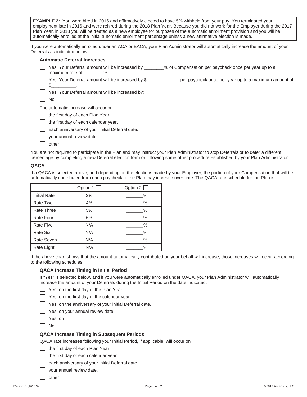**EXAMPLE 2:** You were hired in 2016 and affirmatively elected to have 5% withheld from your pay. You terminated your employment late in 2016 and were rehired during the 2018 Plan Year. Because you did not work for the Employer during the 2017 Plan Year, in 2018 you will be treated as a new employee for purposes of the automatic enrollment provision and you will be automatically enrolled at the initial automatic enrollment percentage unless a new affirmative election is made.

If you were automatically enrolled under an ACA or EACA, your Plan Administrator will automatically increase the amount of your Deferrals as indicated below.

#### **Automatic Deferral Increases**

 $$$   $\overline{\phantom{a}1}$   $\overline{\phantom{a}2}$   $\overline{\phantom{a}3}$   $\overline{\phantom{a}4}$   $\overline{\phantom{a}5}$   $\overline{\phantom{a}5}$   $\overline{\phantom{a}6}$   $\overline{\phantom{a}7}$   $\overline{\phantom{a}7}$   $\overline{\phantom{a}8}$   $\overline{\phantom{a}7}$   $\overline{\phantom{a}8}$   $\overline{\phantom{a}7}$   $\overline{\phantom{a}8}$   $\overline{\phantom{a}7}$ 

| Yes. Your Deferral amount will be increased by               | % of Compensation per paycheck once per year up to a |
|--------------------------------------------------------------|------------------------------------------------------|
| maximum rate of                                              |                                                      |
| $\sqrt{ }$ Yes. Your Deferral amount will be increased by \$ | per paycheck once per year up to a maximum amount of |

| Yes. Your Deferral amount will be increased by: |  |
|-------------------------------------------------|--|
|                                                 |  |

No.

The automatic increase will occur on

| $\Box$ the first day of each Plan Year. |
|-----------------------------------------|
|-----------------------------------------|

- each anniversary of your initial Deferral date.
- your annual review date.

| other |  |
|-------|--|
|       |  |

You are not required to participate in the Plan and may instruct your Plan Administrator to stop Deferrals or to defer a different percentage by completing a new Deferral election form or following some other procedure established by your Plan Administrator.

#### **QACA**

If a QACA is selected above, and depending on the elections made by your Employer, the portion of your Compensation that will be automatically contributed from each paycheck to the Plan may increase over time. The QACA rate schedule for the Plan is:

|                     | Option $1\Box$ | Option $2\Box$ |
|---------------------|----------------|----------------|
| <b>Initial Rate</b> | 3%             | $\%$           |
| Rate Two            | 4%             | $\frac{0}{0}$  |
| Rate Three          | 5%             | $\%$           |
| Rate Four           | 6%             | $\%$           |
| Rate Five           | N/A            | $\%$           |
| Rate Six            | N/A            | $\frac{0}{0}$  |
| Rate Seven          | N/A            | $\%$           |
| Rate Eight          | N/A            | $\%$           |

If the above chart shows that the amount automatically contributed on your behalf will increase, those increases will occur according to the following schedules.

#### **QACA Increase Timing in Initial Period**

If "Yes" is selected below, and if you were automatically enrolled under QACA, your Plan Administrator will automatically increase the amount of your Deferrals during the Initial Period on the date indicated.

- Yes, on the first day of the Plan Year.
- Yes, on the first day of the calendar year.
- $\Box$  Yes, on the anniversary of your initial Deferral date.
- Yes, on your annual review date.
- Yes, on .
- $\Box$  No.

#### **QACA Increase Timing in Subsequent Periods**

QACA rate increases following your Initial Period, if applicable, will occur on

- **the first day of each Plan Year.**
- $\Box$  the first day of each calendar year.
- each anniversary of your initial Deferral date.
- your annual review date.
- other <u>the contract of the contract of the contract of the contract of the contract of the contract of the contract of the contract of the contract of the contract of the contract of the contract of the contract of the con</u>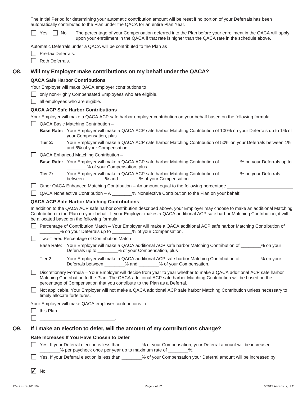The Initial Period for determining your automatic contribution amount will be reset if no portion of your Deferrals has been automatically contributed to the Plan under the QACA for an entire Plan Year.

|                          | $\vert$ $\vert$ No<br>Yes | The percentage of your Compensation deferred into the Plan before your enrollment in the QACA will apply<br>upon your enrollment in the QACA if that rate is higher than the QACA rate in the schedule above.                                                                                                           |
|--------------------------|---------------------------|-------------------------------------------------------------------------------------------------------------------------------------------------------------------------------------------------------------------------------------------------------------------------------------------------------------------------|
|                          |                           | Automatic Deferrals under a QACA will be contributed to the Plan as                                                                                                                                                                                                                                                     |
|                          | Pre-tax Deferrals.        |                                                                                                                                                                                                                                                                                                                         |
|                          | Roth Deferrals.           |                                                                                                                                                                                                                                                                                                                         |
|                          |                           |                                                                                                                                                                                                                                                                                                                         |
|                          |                           | Will my Employer make contributions on my behalf under the QACA?                                                                                                                                                                                                                                                        |
|                          |                           | <b>QACA Safe Harbor Contributions</b>                                                                                                                                                                                                                                                                                   |
|                          |                           | Your Employer will make QACA employer contributions to                                                                                                                                                                                                                                                                  |
|                          |                           | only non-Highly Compensated Employees who are eligible.                                                                                                                                                                                                                                                                 |
|                          |                           | all employees who are eligible.                                                                                                                                                                                                                                                                                         |
|                          |                           | <b>QACA ACP Safe Harbor Contributions</b>                                                                                                                                                                                                                                                                               |
|                          |                           | Your Employer will make a QACA ACP safe harbor employer contribution on your behalf based on the following formula.                                                                                                                                                                                                     |
| $\blacksquare$           |                           | QACA Basic Matching Contribution -                                                                                                                                                                                                                                                                                      |
|                          |                           | Base Rate: Your Employer will make a QACA ACP safe harbor Matching Contribution of 100% on your Deferrals up to 1% of<br>your Compensation, plus                                                                                                                                                                        |
|                          | Tier 2:                   | Your Employer will make a QACA ACP safe harbor Matching Contribution of 50% on your Deferrals between 1%<br>and 6% of your Compensation.                                                                                                                                                                                |
|                          |                           | QACA Enhanced Matching Contribution -                                                                                                                                                                                                                                                                                   |
|                          |                           | Base Rate: Your Employer will make a QACA ACP safe harbor Matching Contribution of _______% on your Deferrals up to<br>_% of your Compensation, plus                                                                                                                                                                    |
|                          | Tier 2:                   | Your Employer will make a QACA ACP safe harbor Matching Contribution of _______% on your Deferrals<br>between ________% and _______% of your Compensation.                                                                                                                                                              |
|                          |                           | Other QACA Enhanced Matching Contribution - An amount equal to the following percentage ____________                                                                                                                                                                                                                    |
|                          |                           | QACA Nonelective Contribution - A ________% Nonelective Contribution to the Plan on your behalf.                                                                                                                                                                                                                        |
|                          |                           | <b>QACA ACP Safe Harbor Matching Contributions</b>                                                                                                                                                                                                                                                                      |
|                          |                           | In addition to the QACA ACP safe harbor contribution described above, your Employer may choose to make an additional Matching<br>Contribution to the Plan on your behalf. If your Employer makes a QACA additional ACP safe harbor Matching Contribution, it will<br>be allocated based on the following formula.       |
| $\overline{\phantom{a}}$ |                           | Percentage of Contribution Match - Your Employer will make a QACA additional ACP safe harbor Matching Contribution of<br>______% on your Deferrals up to ________% of your Compensation.                                                                                                                                |
|                          |                           | Two-Tiered Percentage of Contribution Match -                                                                                                                                                                                                                                                                           |
|                          |                           | Base Rate: Your Employer will make a QACA additional ACP safe harbor Matching Contribution of _______% on your<br>Deferrals up to _______% of your Compensation, plus                                                                                                                                                   |
|                          | Tier 2:                   | Your Employer will make a QACA additional ACP safe harbor Matching Contribution of _______% on your<br>Deferrals between ________% and _______% of your Compensation.                                                                                                                                                   |
|                          |                           | Discretionary Formula - Your Employer will decide from year to year whether to make a QACA additional ACP safe harbor<br>Matching Contribution to the Plan. The QACA additional ACP safe harbor Matching Contribution will be based on the<br>percentage of Compensation that you contribute to the Plan as a Deferral. |
|                          |                           | Not applicable. Your Employer will not make a QACA additional ACP safe harbor Matching Contribution unless necessary to<br>timely allocate forfeitures.                                                                                                                                                                 |
|                          |                           | Your Employer will make QACA employer contributions to                                                                                                                                                                                                                                                                  |
|                          | this Plan.                |                                                                                                                                                                                                                                                                                                                         |
|                          |                           | <u> 1989 - Johann Barbara, martin amerikan</u>                                                                                                                                                                                                                                                                          |
|                          |                           | If I make an election to defer, will the amount of my contributions change?                                                                                                                                                                                                                                             |
|                          |                           | Rate Increases If You Have Chosen to Defer                                                                                                                                                                                                                                                                              |
|                          |                           | Yes. If your Deferral election is less than ________% of your Compensation, your Deferral amount will be increased<br>_% per paycheck once per year up to maximum rate of ________%.                                                                                                                                    |
|                          |                           | Yes. If your Deferral election is less than ________% of your Compensation your Deferral amount will be increased by                                                                                                                                                                                                    |
| $\sqrt{}$                | No.                       |                                                                                                                                                                                                                                                                                                                         |
|                          |                           |                                                                                                                                                                                                                                                                                                                         |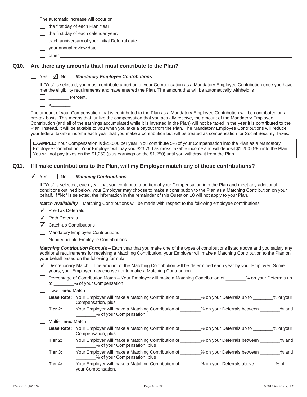The automatic increase will occur on

- $\vert \vert$  the first day of each Plan Year.
- the first day of each calendar year.
- each anniversary of your initial Deferral date.
- your annual review date.
- **other** ...

### **Q10. Are there any amounts that I must contribute to the Plan?**

#### **Mandatory Employee Contributions**  $\Box$  Yes  $\bigvee$  No

If "Yes" is selected, you must contribute a portion of your Compensation as a Mandatory Employee Contribution once you have met the eligibility requirements and have entered the Plan. The amount that will be automatically withheld is

|  | Percent. |
|--|----------|
|  |          |

The amount of your Compensation that is contributed to the Plan as a Mandatory Employee Contribution will be contributed on a pre-tax basis. This means that, unlike the compensation that you actually receive, the amount of the Mandatory Employee Contribution (and all of the earnings accumulated while it is invested in the Plan) will not be taxed in the year it is contributed to the Plan. Instead, it will be taxable to you when you take a payout from the Plan. The Mandatory Employee Contributions will reduce your federal taxable income each year that you make a contribution but will be treated as compensation for Social Security Taxes.

**EXAMPLE:** Your Compensation is \$25,000 per year. You contribute 5% of your Compensation into the Plan as a Mandatory Employee Contribution. Your Employer will pay you \$23,750 as gross taxable income and will deposit \$1,250 (5%) into the Plan. You will not pay taxes on the \$1,250 (plus earnings on the \$1,250) until you withdraw it from the Plan.

#### **Q11. If I make contributions to the Plan, will my Employer match any of those contributions?**

| Yes | $\Box$ No |  | <b>Matching Contributions</b> |
|-----|-----------|--|-------------------------------|
|-----|-----------|--|-------------------------------|

If "Yes" is selected, each year that you contribute a portion of your Compensation into the Plan and meet any additional conditions outlined below, your Employer may choose to make a contribution to the Plan as a Matching Contribution on your behalf. If "No" is selected, the information in the remainder of this Question 10 will not apply to your Plan.

*Match Availability* – Matching Contributions will be made with respect to the following employee contributions.

- $\sqrt{ }$  Pre-Tax Deferrals
- $\sqrt{\phantom{a}}$  Roth Deferrals

✔

- $\overline{\mathcal{L}}$  Catch-up Contributions
- Mandatory Employee Contributions
- Nondeductible Employee Contributions

*Matching Contribution Formula* – Each year that you make one of the types of contributions listed above and you satisfy any additional requirements for receiving a Matching Contribution, your Employer will make a Matching Contribution to the Plan on your behalf based on the following formula.

 $\overline{\blacktriangle}$  Discretionary Match – The amount of the Matching Contribution will be determined each year by your Employer. Some years, your Employer may choose not to make a Matching Contribution.

| Percentage of Contribution Match - Your Employer will make a Matching Contribution of | _% on your Deferrals up |
|---------------------------------------------------------------------------------------|-------------------------|
| % of your Compensation.                                                               |                         |

#### $\Box$  Two-Tiered Match –

**Base Rate:** Your Employer will make a Matching Contribution of \_\_\_\_\_\_\_\_% on your Deferrals up to \_\_\_\_\_\_\_\_% of your Compensation, plus **Tier 2:** Your Employer will make a Matching Contribution of \_\_\_\_\_\_\_\_% on your Deferrals between \_\_\_\_\_\_\_\_% and \_\_\_\_\_\_\_\_% of your Compensation. Multi-Tiered Match – **Base Rate:** Your Employer will make a Matching Contribution of  $\frac{1}{2}$  % on your Deferrals up to  $\frac{1}{2}$  % of your

## Compensation, plus

- **Tier 2:** Your Employer will make a Matching Contribution of 2000 % on your Deferrals between 2000 % and \_\_\_\_\_\_\_\_% of your Compensation, plus **Tier 3:** Your Employer will make a Matching Contribution of \_\_\_\_\_\_\_\_% on your Deferrals between \_\_\_\_\_\_\_\_% and \_\_\_\_\_\_\_\_% of your Compensation, plus
- **Tier 4:** Your Employer will make a Matching Contribution of \_\_\_\_\_\_\_\_% on your Deferrals above \_\_\_\_\_\_\_\_% of your Compensation.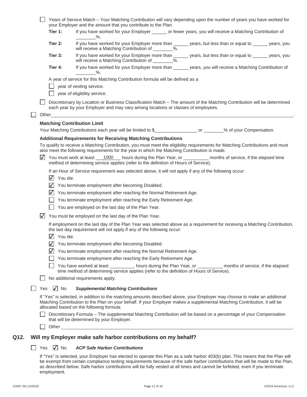|           |                             | Years of Service Match - Your Matching Contribution will vary depending upon the number of years you have worked for<br>your Employer and the amount that you contribute to the Plan.                                                                                                                                                                                                                 |
|-----------|-----------------------------|-------------------------------------------------------------------------------------------------------------------------------------------------------------------------------------------------------------------------------------------------------------------------------------------------------------------------------------------------------------------------------------------------------|
|           | Tier 1:                     | If you have worked for your Employer ______ or fewer years, you will receive a Matching Contribution of<br>$\sim$ %.                                                                                                                                                                                                                                                                                  |
|           | Tier 2:                     | If you have worked for your Employer more than ______ years, but less than or equal to ______ years, you<br>will receive a Matching Contribution of ________%.                                                                                                                                                                                                                                        |
|           | Tier 3:                     | If you have worked for your Employer more than ______ years, but less than or equal to ______ years, you<br>will receive a Matching Contribution of ________%.                                                                                                                                                                                                                                        |
|           | Tier 4:                     | If you have worked for your Employer more than _______ years, you will receive a Matching Contribution of<br>$\sim$ %.                                                                                                                                                                                                                                                                                |
|           |                             | A year of service for this Matching Contribution formula will be defined as a                                                                                                                                                                                                                                                                                                                         |
|           |                             | $\Box$ year of vesting service.                                                                                                                                                                                                                                                                                                                                                                       |
|           |                             | $\Box$ year of eligibility service.                                                                                                                                                                                                                                                                                                                                                                   |
|           |                             | Discretionary by Location or Business Classification Match - The amount of the Matching Contribution will be determined<br>each year by your Employer and may vary among locations or classes of employees.                                                                                                                                                                                           |
|           |                             | Other extension of the contract of the contract of the contract of the contract of the contract of the contract of the contract of the contract of the contract of the contract of the contract of the contract of the contrac                                                                                                                                                                        |
|           |                             | <b>Matching Contribution Limit</b>                                                                                                                                                                                                                                                                                                                                                                    |
|           |                             | Your Matching Contributions each year will be limited to \$_______________________ or _______% of your Compensation.                                                                                                                                                                                                                                                                                  |
|           |                             | <b>Additional Requirements for Receiving Matching Contributions</b>                                                                                                                                                                                                                                                                                                                                   |
|           |                             | To qualify to receive a Matching Contribution, you must meet the eligibility requirements for Matching Contributions and must<br>also meet the following requirements for the year in which the Matching Contribution is made.                                                                                                                                                                        |
|           |                             | $\sqrt{ }$ You must work at least $\_\_$ 1000 $\_\_$ hours during the Plan Year, or $\_\_$ months of service, if the elapsed time<br>method of determining service applies (refer to the definition of Hours of Service).                                                                                                                                                                             |
|           | $\sqrt{ }$ You die.         | If an Hour of Service requirement was selected above, it will not apply if any of the following occur:<br>√ You terminate employment after becoming Disabled.<br>√ You terminate employment after reaching the Normal Retirement Age.<br>You terminate employment after reaching the Early Retirement Age.<br>You are employed on the last day of the Plan Year.                                      |
| $\sqrt{}$ |                             | You must be employed on the last day of the Plan Year.                                                                                                                                                                                                                                                                                                                                                |
|           | $\sqrt{ }$ You die.         | If employment on the last day of the Plan Year was selected above as a requirement for receiving a Matching Contribution,<br>the last day requirement will not apply if any of the following occur:<br>You terminate employment after becoming Disabled.<br>√ You terminate employment after reaching the Normal Retirement Age.<br>You terminate employment after reaching the Early Retirement Age. |
|           |                             | You have worked at least ____________ hours during the Plan Year, or ___________ months of service, if the elapsed<br>time method of determining service applies (refer to the definition of Hours of Service).                                                                                                                                                                                       |
|           |                             | No additional requirements apply.                                                                                                                                                                                                                                                                                                                                                                     |
|           | Yes $\sqrt{\phantom{a}}$ No | <b>Supplemental Matching Contributions</b>                                                                                                                                                                                                                                                                                                                                                            |
|           |                             | If "Yes" is selected, in addition to the matching amounts described above, your Employer may choose to make an additional<br>Matching Contribution to the Plan on your behalf. If your Employer makes a supplemental Matching Contribution, it will be<br>allocated based on the following formula:                                                                                                   |
|           |                             | Discretionary Formula - The supplemental Matching Contribution will be based on a percentage of your Compensation<br>that will be determined by your Employer.<br>Other contract to the contract of the contract of the contract of the contract of the contract of the contract of the contract of the contract of the contract of the contract of the contract of the contract of the contract      |
|           |                             |                                                                                                                                                                                                                                                                                                                                                                                                       |

### **Q12. Will my Employer make safe harbor contributions on my behalf?**

#### **ACP Safe Harbor Contributions** □ Yes √ No

 If "Yes" is selected, your Employer has elected to operate this Plan as a safe harbor 403(b) plan. This means that the Plan will be exempt from certain compliance testing requirements because of the safe harbor contributions that will be made to the Plan, as described below. Safe harbor contributions will be fully vested at all times and cannot be forfeited, even if you terminate employment.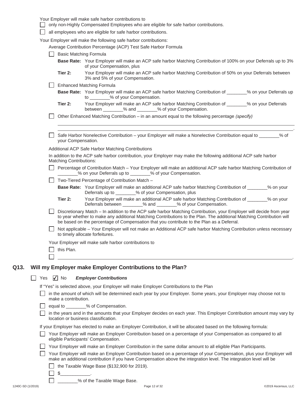| Your Employer will make safe harbor contributions to |  |
|------------------------------------------------------|--|
|------------------------------------------------------|--|

- only non-Highly Compensated Employees who are eligible for safe harbor contributions.
- all employees who are eligible for safe harbor contributions.

Your Employer will make the following safe harbor contributions:

Average Contribution Percentage (ACP) Test Safe Harbor Formula

|      |                | <b>Basic Matching Formula</b>  |                                                                                                                                                                                                                                                                                                                                          |
|------|----------------|--------------------------------|------------------------------------------------------------------------------------------------------------------------------------------------------------------------------------------------------------------------------------------------------------------------------------------------------------------------------------------|
|      |                |                                | Base Rate: Your Employer will make an ACP safe harbor Matching Contribution of 100% on your Deferrals up to 3%<br>of your Compensation, plus                                                                                                                                                                                             |
|      |                | Tier 2:                        | Your Employer will make an ACP safe harbor Matching Contribution of 50% on your Deferrals between<br>3% and 5% of your Compensation.                                                                                                                                                                                                     |
|      |                |                                | <b>Enhanced Matching Formula</b>                                                                                                                                                                                                                                                                                                         |
|      |                |                                | Base Rate: Your Employer will make an ACP safe harbor Matching Contribution of _______% on your Deferrals up<br>to ________% of your Compensation.                                                                                                                                                                                       |
|      |                | Tier 2:                        | Your Employer will make an ACP safe harbor Matching Contribution of _______% on your Deferrals<br>between ________% and _______% of your Compensation.                                                                                                                                                                                   |
|      |                |                                | Other Enhanced Matching Contribution – in an amount equal to the following percentage (specify)                                                                                                                                                                                                                                          |
|      |                | your Compensation.             | Safe Harbor Nonelective Contribution – your Employer will make a Nonelective Contribution equal to _______% of                                                                                                                                                                                                                           |
|      |                |                                | Additional ACP Safe Harbor Matching Contributions                                                                                                                                                                                                                                                                                        |
|      |                | <b>Matching Contributions:</b> | In addition to the ACP safe harbor contribution, your Employer may make the following additional ACP safe harbor                                                                                                                                                                                                                         |
|      |                |                                | Percentage of Contribution Match - Your Employer will make an additional ACP safe harbor Matching Contribution of<br>______% on your Deferrals up to ________% of your Compensation.                                                                                                                                                     |
|      |                |                                | Two-Tiered Percentage of Contribution Match -                                                                                                                                                                                                                                                                                            |
|      |                |                                | Base Rate: Your Employer will make an additional ACP safe harbor Matching Contribution of _______% on your<br>Deferrals up to ________% of your Compensation, plus                                                                                                                                                                       |
|      |                | Tier 2:                        | Your Employer will make an additional ACP safe harbor Matching Contribution of _______% on your<br>Deferrals between ________% and _______% of your Compensation.                                                                                                                                                                        |
|      |                |                                | Discretionary Match - In addition to the ACP safe harbor Matching Contribution, your Employer will decide from year<br>to year whether to make any additional Matching Contributions to the Plan. The additional Matching Contribution will<br>be based on the percentage of Compensation that you contribute to the Plan as a Deferral. |
|      | $\blacksquare$ |                                | Not applicable - Your Employer will not make an Additional ACP safe harbor Matching Contribution unless necessary<br>to timely allocate forfeitures.                                                                                                                                                                                     |
|      |                | this Plan.                     | Your Employer will make safe harbor contributions to                                                                                                                                                                                                                                                                                     |
| Q13. |                |                                | Will my Employer make Employer Contributions to the Plan?                                                                                                                                                                                                                                                                                |
|      | Yes            | $\sqrt{ }$ No                  | <b>Employer Contributions</b>                                                                                                                                                                                                                                                                                                            |
|      |                |                                | If "Yes" is selected above, your Employer will make Employer Contributions to the Plan                                                                                                                                                                                                                                                   |
|      |                |                                | in the amount of which will be determined each year by your Employer. Some years, your Employer may choose not to                                                                                                                                                                                                                        |

equal to \_\_\_\_\_\_\_% of Compensation.

make a contribution.

in the years and in the amounts that your Employer decides on each year. This Employer Contribution amount may vary by location or business classification.

If your Employer has elected to make an Employer Contribution, it will be allocated based on the following formula:

- Your Employer will make an Employer Contribution based on a percentage of your Compensation as compared to all eligible Participants' Compensation.
- Your Employer will make an Employer Contribution in the same dollar amount to all eligible Plan Participants.
- Your Employer will make an Employer Contribution based on a percentage of your Compensation, plus your Employer will make an additional contribution if you have Compensation above the integration level. The integration level will be

 $\Box$  the Taxable Wage Base (\$132,900 for 2019).

**1** \_\_\_\_\_\_\_\_% of the Taxable Wage Base.

 $\Box$  s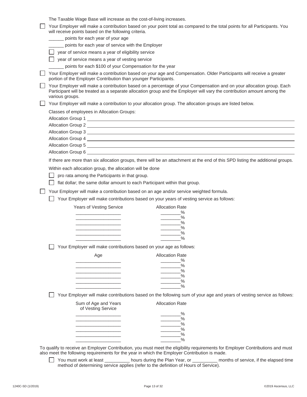|                                                                                         | The Taxable Wage Base will increase as the cost-of-living increases.                                                                                                                                                                            |
|-----------------------------------------------------------------------------------------|-------------------------------------------------------------------------------------------------------------------------------------------------------------------------------------------------------------------------------------------------|
| will receive points based on the following criteria.                                    | Your Employer will make a contribution based on your point total as compared to the total points for all Participants. You                                                                                                                      |
| points for each year of your age                                                        |                                                                                                                                                                                                                                                 |
| points for each year of service with the Employer                                       |                                                                                                                                                                                                                                                 |
| year of service means a year of eligibility service                                     |                                                                                                                                                                                                                                                 |
| year of service means a year of vesting service                                         |                                                                                                                                                                                                                                                 |
| points for each \$100 of your Compensation for the year                                 |                                                                                                                                                                                                                                                 |
| portion of the Employer Contribution than younger Participants.                         | Your Employer will make a contribution based on your age and Compensation. Older Participants will receive a greater                                                                                                                            |
| various groups.                                                                         | Your Employer will make a contribution based on a percentage of your Compensation and on your allocation group. Each<br>Participant will be treated as a separate allocation group and the Employer will vary the contribution amount among the |
|                                                                                         | Your Employer will make a contribution to your allocation group. The allocation groups are listed below.                                                                                                                                        |
| Classes of employees in Allocation Groups:                                              |                                                                                                                                                                                                                                                 |
|                                                                                         |                                                                                                                                                                                                                                                 |
|                                                                                         |                                                                                                                                                                                                                                                 |
|                                                                                         | Allocation Group 3                                                                                                                                                                                                                              |
|                                                                                         |                                                                                                                                                                                                                                                 |
|                                                                                         | Allocation Group 5                                                                                                                                                                                                                              |
|                                                                                         |                                                                                                                                                                                                                                                 |
|                                                                                         | If there are more than six allocation groups, there will be an attachment at the end of this SPD listing the additional groups.                                                                                                                 |
| Within each allocation group, the allocation will be done                               |                                                                                                                                                                                                                                                 |
| pro rata among the Participants in that group.                                          |                                                                                                                                                                                                                                                 |
| flat dollar; the same dollar amount to each Participant within that group.              |                                                                                                                                                                                                                                                 |
| Your Employer will make a contribution based on an age and/or service weighted formula. |                                                                                                                                                                                                                                                 |
|                                                                                         |                                                                                                                                                                                                                                                 |
|                                                                                         |                                                                                                                                                                                                                                                 |
|                                                                                         | Your Employer will make contributions based on your years of vesting service as follows:                                                                                                                                                        |
| Years of Vesting Service                                                                | <b>Allocation Rate</b>                                                                                                                                                                                                                          |
|                                                                                         | $\%$                                                                                                                                                                                                                                            |
|                                                                                         | $\frac{9}{6}$<br>$\frac{9}{6}$<br><u> 1999 - Jan Ja</u>                                                                                                                                                                                         |
|                                                                                         | $\%$                                                                                                                                                                                                                                            |
|                                                                                         | $\sim$ $\frac{\%}{\%}$                                                                                                                                                                                                                          |
|                                                                                         | $\sim$ $\frac{\%}{\%}$                                                                                                                                                                                                                          |
| Your Employer will make contributions based on your age as follows:                     |                                                                                                                                                                                                                                                 |
| Age                                                                                     | <b>Allocation Rate</b>                                                                                                                                                                                                                          |
|                                                                                         | %<br>$\frac{9}{6}$                                                                                                                                                                                                                              |
|                                                                                         | %                                                                                                                                                                                                                                               |
|                                                                                         | $\frac{9}{6}$                                                                                                                                                                                                                                   |
|                                                                                         | $\frac{0}{0}$<br>$\frac{0}{0}$                                                                                                                                                                                                                  |
|                                                                                         | Your Employer will make contributions based on the following sum of your age and years of vesting service as follows:                                                                                                                           |
| Sum of Age and Years                                                                    | <b>Allocation Rate</b>                                                                                                                                                                                                                          |
| of Vesting Service                                                                      |                                                                                                                                                                                                                                                 |
|                                                                                         | %<br>%                                                                                                                                                                                                                                          |
|                                                                                         | $\frac{9}{6}$                                                                                                                                                                                                                                   |
|                                                                                         | $\sim$ $\frac{\%}{\%}$                                                                                                                                                                                                                          |
|                                                                                         | $\frac{0}{2}$<br>$\%$                                                                                                                                                                                                                           |
|                                                                                         | To qualify to receive an Employer Contribution, you must meet the eligibility requirements for Employer Contributions and must                                                                                                                  |

 You must work at least \_\_\_\_\_\_\_\_\_\_ hours during the Plan Year, or \_\_\_\_\_\_\_\_\_\_ months of service, if the elapsed time method of determining service applies (refer to the definition of Hours of Service).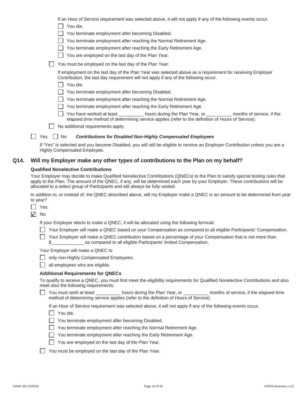|      | If an Hour of Service requirement was selected above, it will not apply if any of the following events occur.<br>You die.<br>You terminate employment after becoming Disabled.<br>You terminate employment after reaching the Normal Retirement Age.<br>You terminate employment after reaching the Early Retirement Age.<br>You are employed on the last day of the Plan Year.                                                                                                                                                                                                                                                                                       |
|------|-----------------------------------------------------------------------------------------------------------------------------------------------------------------------------------------------------------------------------------------------------------------------------------------------------------------------------------------------------------------------------------------------------------------------------------------------------------------------------------------------------------------------------------------------------------------------------------------------------------------------------------------------------------------------|
|      | You must be employed on the last day of the Plan Year.                                                                                                                                                                                                                                                                                                                                                                                                                                                                                                                                                                                                                |
|      | If employment on the last day of the Plan Year was selected above as a requirement for receiving Employer<br>Contribution, the last day requirement will not apply if any of the following occur.<br>You die.<br>You terminate employment after becoming Disabled.<br>You terminate employment after reaching the Normal Retirement Age.<br>You terminate employment after reaching the Early Retirement Age.<br>You have worked at least ____________ hours during the Plan Year, or ___________ months of service, if the<br>elapsed time method of determining service applies (refer to the definition of Hours of Service).<br>No additional requirements apply. |
|      | No<br><b>Contributions for Disabled Non-Highly Compensated Employees</b><br>Yes                                                                                                                                                                                                                                                                                                                                                                                                                                                                                                                                                                                       |
|      | If "Yes" is selected and you become Disabled, you will still be eligible to receive an Employer Contribution unless you are a<br>Highly Compensated Employee.                                                                                                                                                                                                                                                                                                                                                                                                                                                                                                         |
| Q14. | Will my Employer make any other types of contributions to the Plan on my behalf?                                                                                                                                                                                                                                                                                                                                                                                                                                                                                                                                                                                      |
|      | <b>Qualified Nonelective Contributions</b>                                                                                                                                                                                                                                                                                                                                                                                                                                                                                                                                                                                                                            |
|      | Your Employer may decide to make Qualified Nonelective Contributions (QNECs) to the Plan to satisfy special testing rules that<br>apply to the Plan. The amount of the QNEC, if any, will be determined each year by your Employer. These contributions will be<br>allocated to a select group of Participants and will always be fully vested.                                                                                                                                                                                                                                                                                                                       |
|      | In addition to, or instead of, the QNEC described above, will my Employer make a QNEC in an amount to be determined from year<br>to year?<br>Yes.<br>$\sqrt{}$<br>No.                                                                                                                                                                                                                                                                                                                                                                                                                                                                                                 |
|      | If your Employer elects to make a QNEC, it will be allocated using the following formula:                                                                                                                                                                                                                                                                                                                                                                                                                                                                                                                                                                             |
|      | Your Employer will make a QNEC based on your Compensation as compared to all eligible Participants' Compensation.                                                                                                                                                                                                                                                                                                                                                                                                                                                                                                                                                     |
|      | Your Employer will make a QNEC contribution based on a percentage of your Compensation that is not more than<br>as compared to all eligible Participants' limited Compensation.<br>\$                                                                                                                                                                                                                                                                                                                                                                                                                                                                                 |
|      | Your Employer will make a QNEC to                                                                                                                                                                                                                                                                                                                                                                                                                                                                                                                                                                                                                                     |
|      | only non-Highly Compensated Employees.                                                                                                                                                                                                                                                                                                                                                                                                                                                                                                                                                                                                                                |
|      | all employees who are eligible.                                                                                                                                                                                                                                                                                                                                                                                                                                                                                                                                                                                                                                       |
|      | <b>Additional Requirements for QNECs</b><br>To qualify to receive a QNEC, you must first meet the eligibility requirements for Qualified Nonelective Contributions and also                                                                                                                                                                                                                                                                                                                                                                                                                                                                                           |
|      | meet also the following requirements.                                                                                                                                                                                                                                                                                                                                                                                                                                                                                                                                                                                                                                 |
|      | You must work at least __________ hours during the Plan Year, or __________ months of service, if the elapsed time<br>method of determining service applies (refer to the definition of Hours of Service).                                                                                                                                                                                                                                                                                                                                                                                                                                                            |
|      | If an Hour of Service requirement was selected above, it will not apply if any of the following events occur.                                                                                                                                                                                                                                                                                                                                                                                                                                                                                                                                                         |
|      | You die.                                                                                                                                                                                                                                                                                                                                                                                                                                                                                                                                                                                                                                                              |
|      | You terminate employment after becoming Disabled.                                                                                                                                                                                                                                                                                                                                                                                                                                                                                                                                                                                                                     |
|      | You terminate employment after reaching the Normal Retirement Age.                                                                                                                                                                                                                                                                                                                                                                                                                                                                                                                                                                                                    |
|      | You terminate employment after reaching the Early Retirement Age.<br>You are employed on the last day of the Plan Year.                                                                                                                                                                                                                                                                                                                                                                                                                                                                                                                                               |
|      |                                                                                                                                                                                                                                                                                                                                                                                                                                                                                                                                                                                                                                                                       |

You must be employed on the last day of the Plan Year.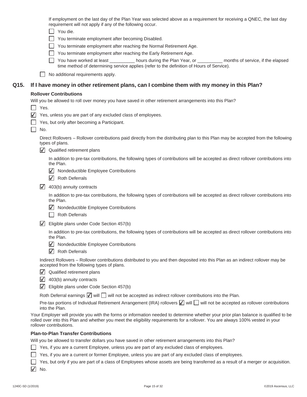| If employment on the last day of the Plan Year was selected above as a requirement for receiving a QNEC, the last day |  |
|-----------------------------------------------------------------------------------------------------------------------|--|
| requirement will not apply if any of the following occur.                                                             |  |

|      | requirement will not apply if any of the following occur.                                                                                                                                                   |  |
|------|-------------------------------------------------------------------------------------------------------------------------------------------------------------------------------------------------------------|--|
|      | You die.                                                                                                                                                                                                    |  |
|      | You terminate employment after becoming Disabled.                                                                                                                                                           |  |
|      | You terminate employment after reaching the Normal Retirement Age.                                                                                                                                          |  |
|      | You terminate employment after reaching the Early Retirement Age.                                                                                                                                           |  |
|      | You have worked at least __________ hours during the Plan Year, or _________ months of service, if the elapsed<br>time method of determining service applies (refer to the definition of Hours of Service). |  |
|      | No additional requirements apply.                                                                                                                                                                           |  |
| Q15. | If I have money in other retirement plans, can I combine them with my money in this Plan?                                                                                                                   |  |
|      | <b>Rollover Contributions</b>                                                                                                                                                                               |  |
|      | Will you be allowed to roll over money you have saved in other retirement arrangements into this Plan?                                                                                                      |  |
|      | Yes.<br>$\Box$                                                                                                                                                                                              |  |
|      | Yes, unless you are part of any excluded class of employees.                                                                                                                                                |  |
|      | Yes, but only after becoming a Participant.                                                                                                                                                                 |  |
|      | No.                                                                                                                                                                                                         |  |
|      | Direct Rollovers – Rollover contributions paid directly from the distributing plan to this Plan may be accepted from the following<br>types of plans.                                                       |  |
|      | $\sqrt{\phantom{a}}$ Qualified retirement plans                                                                                                                                                             |  |
|      | In addition to pre-tax contributions, the following types of contributions will be accepted as direct rollover contributions into<br>the Plan.                                                              |  |
|      | √ Nondeductible Employee Contributions                                                                                                                                                                      |  |
|      | $\sqrt{\phantom{a}}$ Roth Deferrals                                                                                                                                                                         |  |
|      | $\sqrt{403(b)}$ annuity contracts                                                                                                                                                                           |  |
|      | In addition to pre-tax contributions, the following types of contributions will be accepted as direct rollover contributions into<br>the Plan.                                                              |  |
|      | √ Nondeductible Employee Contributions                                                                                                                                                                      |  |
|      | Roth Deferrals                                                                                                                                                                                              |  |
|      | V<br>Eligible plans under Code Section 457(b)                                                                                                                                                               |  |
|      | In addition to pre-tax contributions, the following types of contributions will be accepted as direct rollover contributions into<br>the Plan.                                                              |  |
|      | Nondeductible Employee Contributions<br>$\vert \sqrt{} \vert$                                                                                                                                               |  |
|      | $\sqrt{}$<br><b>Roth Deferrals</b>                                                                                                                                                                          |  |
|      | Indirect Rollovers - Rollover contributions distributed to you and then deposited into this Plan as an indirect rollover may be<br>accepted from the following types of plans.                              |  |
|      | $\sqrt{\phantom{a}}$ Qualified retirement plans                                                                                                                                                             |  |
|      | 403(b) annuity contracts                                                                                                                                                                                    |  |
|      |                                                                                                                                                                                                             |  |

 $\sqrt{\phantom{a}}$  Eligible plans under Code Section 457(b)

Roth Deferral earnings  $\Box$  will  $\Box$  will not be accepted as indirect rollover contributions into the Plan.

Pre-tax portions of Individual Retirement Arrangement (IRA) rollovers  $\Box$  will  $\Box$  will not be accepted as rollover contributions into the Plan.

Your Employer will provide you with the forms or information needed to determine whether your prior plan balance is qualified to be rolled over into this Plan and whether you meet the eligibility requirements for a rollover. You are always 100% vested in your rollover contributions.

#### **Plan-to-Plan Transfer Contributions**

Will you be allowed to transfer dollars you have saved in other retirement arrangements into this Plan?

 $\Box$  Yes, if you are a current Employee, unless you are part of any excluded class of employees.

 $\Box$  Yes, if you are a current or former Employee, unless you are part of any excluded class of employees.

Yes, but only if you are part of a class of Employees whose assets are being transferred as a result of a merger or acquisition.  $\sqrt{\phantom{a}}$  No.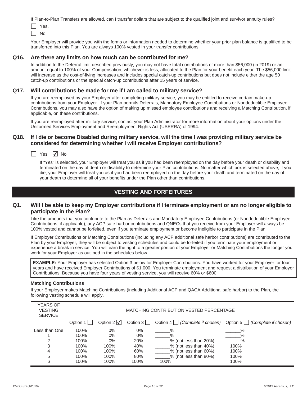If Plan-to-Plan Transfers are allowed, can I transfer dollars that are subject to the qualified joint and survivor annuity rules?

 $\Box$  Yes.  $\Box$  No.

Your Employer will provide you with the forms or information needed to determine whether your prior plan balance is qualified to be transferred into this Plan. You are always 100% vested in your transfer contributions.

#### **Q16. Are there any limits on how much can be contributed for me?**

In addition to the Deferral limit described previously, you may not have total contributions of more than \$56,000 (in 2019) or an amount equal to 100% of your Compensation, whichever is less, allocated to the Plan for your benefit each year. The \$56,000 limit will increase as the cost-of-living increases and includes special catch-up contributions but does not include either the age 50 catch-up contributions or the special catch-up contributions after 15 years of service.

#### **Q17. Will contributions be made for me if I am called to military service?**

If you are reemployed by your Employer after completing military service, you may be entitled to receive certain make-up contributions from your Employer. If your Plan permits Deferrals, Mandatory Employee Contributions or Nondeductible Employee Contributions, you may also have the option of making up missed employee contributions and receiving a Matching Contribution, if applicable, on these contributions.

If you are reemployed after military service, contact your Plan Administrator for more information about your options under the Uniformed Services Employment and Reemployment Rights Act (USERRA) of 1994.

#### **Q18. If I die or become Disabled during military service, will the time I was providing military service be considered for determining whether I will receive Employer contributions?**

Yes  $\sqrt{ }$  No

If "Yes" is selected, your Employer will treat you as if you had been reemployed on the day before your death or disability and terminated on the day of death or disability to determine your Plan contributions. No matter which box is selected above, if you die, your Employer will treat you as if you had been reemployed on the day before your death and terminated on the day of your death to determine all of your benefits under the Plan other than contributions.

### **VESTING AND FORFEITURES**

#### **Q1. Will I be able to keep my Employer contributions if I terminate employment or am no longer eligible to participate in the Plan?**

Like the amounts that you contribute to the Plan as Deferrals and Mandatory Employee Contributions (or Nondeductible Employee Contributions, if applicable), any ACP safe harbor contributions and QNECs that you receive from your Employer will always be 100% vested and cannot be forfeited, even if you terminate employment or become ineligible to participate in the Plan.

If Employer Contributions or Matching Contributions (including any ACP additional safe harbor contributions) are contributed to the Plan by your Employer, they will be subject to vesting schedules and could be forfeited if you terminate your employment or experience a break in service. You will earn the right to a greater portion of your Employer or Matching Contributions the longer you work for your Employer as outlined in the schedules below.

**EXAMPLE:** Your Employer has selected Option 3 below for Employer Contributions. You have worked for your Employer for four years and have received Employer Contributions of \$1,000. You terminate employment and request a distribution of your Employer Contributions. Because you have four years of vesting service, you will receive 60% or \$600.

#### **Matching Contributions**

If your Employer makes Matching Contributions (including Additional ACP and QACA Additional safe harbor) to the Plan, the following vesting schedule will apply.

| <b>YEARS OF</b><br><b>VESTING</b><br><b>SERVICE</b> | MATCHING CONTRIBUTION VESTED PERCENTAGE |              |            |                                  |                                  |
|-----------------------------------------------------|-----------------------------------------|--------------|------------|----------------------------------|----------------------------------|
|                                                     | Option 1                                | Option 2 I√l | Option 3 l | Option 4<br>(Complete if chosen) | Option 5<br>(Complete if chosen) |
| Less than One                                       | 100%                                    | $0\%$        | $0\%$      | %                                | $\%$                             |
|                                                     | 100%                                    | $0\%$        | $0\%$      | %                                | %                                |
| っ                                                   | 100%                                    | $0\%$        | 20%        | % (not less than 20%)            | %                                |
| 3                                                   | 100%                                    | 100%         | 40%        | % (not less than 40%)            | 100%                             |
| 4                                                   | 100%                                    | 100%         | 60%        | % (not less than 60%)            | 100%                             |
| 5                                                   | 100%                                    | 100%         | 80%        | % (not less than 80%)            | 100%                             |
| 6                                                   | 100%                                    | 100%         | 100%       | 100%                             | 100%                             |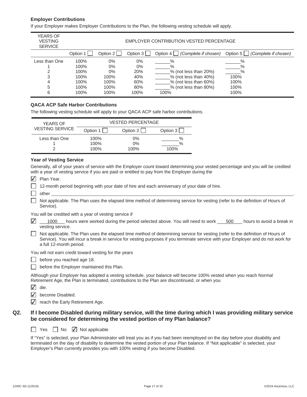#### **Employer Contributions**

If your Employer makes Employer Contributions to the Plan, the following vesting schedule will apply.

| YEARS OF<br><b>VESTING</b><br><b>SERVICE</b> | EMPLOYER CONTRIBUTION VESTED PERCENTAGE |            |          |                                 |                                    |
|----------------------------------------------|-----------------------------------------|------------|----------|---------------------------------|------------------------------------|
|                                              | Option 1                                | Option 2 l | Option 3 | Option 4   (Complete if chosen) | Option 5  <br>(Complete if chosen) |
| Less than One                                | 100%                                    | 0%         | $0\%$    | $\%$                            | $\%$                               |
|                                              | 100%                                    | $0\%$      | $0\%$    | $\%$                            | %                                  |
| ⌒                                            | 100%                                    | $0\%$      | 20%      | % (not less than 20%)           | $\%$                               |
| 3                                            | 100%                                    | 100%       | 40%      | % (not less than 40%)           | 100%                               |
| 4                                            | 100%                                    | 100%       | 60%      | % (not less than 60%)           | 100%                               |
| 5                                            | 100%                                    | 100%       | 80%      | % (not less than 80%)           | 100%                               |
| 6                                            | 100%                                    | 100%       | 100%     | 100%                            | 100%                               |

#### **QACA ACP Safe Harbor Contributions**

The following vesting schedule will apply to your QACA ACP safe harbor contributions.

| <b>YEARS OF</b>        | <b>VESTED PERCENTAGE</b> |          |             |  |  |  |
|------------------------|--------------------------|----------|-------------|--|--|--|
| <b>VESTING SERVICE</b> | Option 1                 | Option 2 | Option $3L$ |  |  |  |
| Less than One          | 100%                     | $0\%$    | $\%$        |  |  |  |
|                        | 100%                     | 0%       | $\%$        |  |  |  |
|                        | 100%                     | 100%     | 100%        |  |  |  |

#### **Year of Vesting Service**

Generally, all of your years of service with the Employer count toward determining your vested percentage and you will be credited with a year of vesting service if you are paid or entitled to pay from the Employer during the

| $\sqrt{\phantom{a}}$ Plan Year. |  |
|---------------------------------|--|
|---------------------------------|--|

12-month period beginning with your date of hire and each anniversary of your date of hire.

other <u>the contract of the contract of the contract of the contract of the contract of the contract of the contract of the contract of the contract of the contract of the contract of the contract of the contract of the con</u>

 Not applicable. The Plan uses the elapsed time method of determining service for vesting (refer to the definition of Hours of Service).

You will be credited with a year of vesting service if

| $\sqrt{ }$ 1000  | hours were worked during the period selected above. You will need to work 600 hours to avoid a break in |  |
|------------------|---------------------------------------------------------------------------------------------------------|--|
| vesting service. |                                                                                                         |  |

 Not applicable. The Plan uses the elapsed time method of determining service for vesting (refer to the definition of Hours of Service). You will incur a break in service for vesting purposes if you terminate service with your Employer and do not work for a full 12-month period.

You will not earn credit toward vesting for the years

- before you reached age 18.
- **before the Employer maintained this Plan.**

Although your Employer has adopted a vesting schedule, your balance will become 100% vested when you reach Normal Retirement Age, the Plan is terminated, contributions to the Plan are discontinued, or when you

 $\angle$  die.

 $\sqrt{\phantom{a}}$  become Disabled.

 $\sqrt{\phantom{a}}$  reach the Early Retirement Age.

#### **Q2. If I become Disabled during military service, will the time during which I was providing military service be considered for determining the vested portion of my Plan balance?**



If "Yes" is selected, your Plan Administrator will treat you as if you had been reemployed on the day before your disability and terminated on the day of disability to determine the vested portion of your Plan balance. If "Not applicable" is selected, your Employer's Plan currently provides you with 100% vesting if you become Disabled.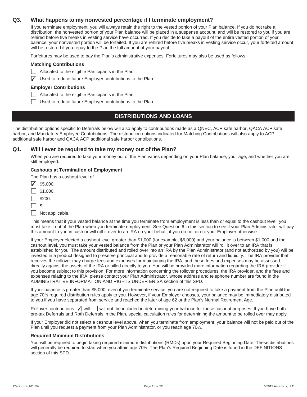#### **Q3. What happens to my nonvested percentage if I terminate employment?**

If you terminate employment, you will always retain the right to the vested portion of your Plan balance. If you do not take a distribution, the nonvested portion of your Plan balance will be placed in a suspense account, and will be restored to you if you are rehired before five breaks in vesting service have occurred. If you decide to take a payout of the entire vested portion of your balance, your nonvested portion will be forfeited. If you are rehired before five breaks in vesting service occur, your forfeited amount will be restored if you repay to the Plan the full amount of your payout.

Forfeitures may be used to pay the Plan's administrative expenses. Forfeitures may also be used as follows:

#### **Matching Contributions**

- Allocated to the eligible Participants in the Plan.
- $\sqrt{ }$  Used to reduce future Employer contributions to the Plan.

#### **Employer Contributions**

- Allocated to the eligible Participants in the Plan.
- $\Box$  Used to reduce future Employer contributions to the Plan.

### **DISTRIBUTIONS AND LOANS**

The distribution options specific to Deferrals below will also apply to contributions made as a QNEC, ACP safe harbor, QACA ACP safe harbor, and Mandatory Employee Contributions. The distribution options indicated for Matching Contributions will also apply to ACP additional safe harbor and QACA ACP additional safe harbor contributions.

#### **Q1. Will I ever be required to take my money out of the Plan?**

When you are required to take your money out of the Plan varies depending on your Plan balance, your age, and whether you are still employed.

#### **Cashouts at Termination of Employment**

The Plan has a cashout level of

- $\sqrt{ }$  \$5,000.  $\Box$  \$1,000.  $\Box$  \$200.  $\Box$  \$
- $\Box$  Not applicable.

This means that if your vested balance at the time you terminate from employment is less than or equal to the cashout level, you must take it out of the Plan when you terminate employment. See Question 6 in this section to see if your Plan Administrator will pay this amount to you in cash or will roll it over to an IRA on your behalf, if you do not direct your Employer otherwise.

If your Employer elected a cashout level greater than \$1,000 (for example, \$5,000) and your balance is between \$1,000 and the cashout level, you must take your vested balance from the Plan or your Plan Administrator will roll it over to an IRA that is established for you. The amount distributed and rolled over into an IRA by the Plan Administrator (and not authorized by you) will be invested in a product designed to preserve principal and to provide a reasonable rate of return and liquidity. The IRA provider that receives the rollover may charge fees and expenses for maintaining the IRA, and these fees and expenses may be assessed directly against the assets of the IRA or billed directly to you. You will be provided more information regarding the IRA provider if you become subject to this provision. For more information concerning the rollover procedures, the IRA provider, and the fees and expenses relating to the IRA, please contact your Plan Administrator, whose address and telephone number are found in the ADMINISTRATIVE INFORMATION AND RIGHTS UNDER ERISA section of this SPD.

If your balance is greater than \$5,000, even if you terminate service, you are not required to take a payment from the Plan until the age 70½ required distribution rules apply to you. However, if your Employer chooses, your balance may be immediately distributed to you if you have separated from service and reached the later of age 62 or the Plan's Normal Retirement Age.

Rollover contributions  $\Box$  will  $\Box$  will not be included in determining your balance for these cashout purposes. If you have both pre-tax Deferrals and Roth Deferrals in the Plan, special calculation rules for determining the amount to be rolled over may apply.

If your Employer did not select a cashout level above, when you terminate from employment, your balance will not be paid out of the Plan until you request a payment from your Plan Administrator, or you reach age 70½.

#### **Required Minimum Distributions**

You will be required to begin taking required minimum distributions (RMDs) upon your Required Beginning Date. These distributions will generally be required to start when you attain age 70½. The Plan's Required Beginning Date is found in the DEFINITIONS section of this SPD.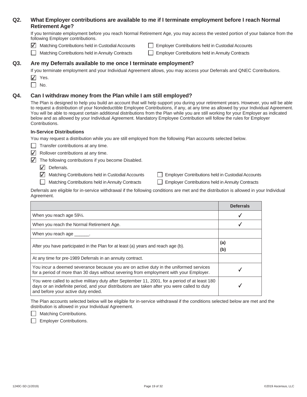### **Q2. What Employer contributions are available to me if I terminate employment before I reach Normal Retirement Age?**

If you terminate employment before you reach Normal Retirement Age, you may access the vested portion of your balance from the following Employer contributions.

Matching Contributions held in Custodial Accounts

- Matching Contributions held in Annuity Contracts Employer Contributions held in Annuity Contracts
- **Employer Contributions held in Custodial Accounts** 
	-

### **Q3. Are my Deferrals available to me once I terminate employment?**

If you terminate employment and your Individual Agreement allows, you may access your Deferrals and QNEC Contributions.

 $\sqrt{ }$  Yes.

 $\Box$  No.

### **Q4. Can I withdraw money from the Plan while I am still employed?**

The Plan is designed to help you build an account that will help support you during your retirement years. However, you will be able to request a distribution of your Nondeductible Employee Contributions, if any, at any time as allowed by your Individual Agreement. You will be able to request certain additional distributions from the Plan while you are still working for your Employer as indicated below and as allowed by your Individual Agreement. Mandatory Employee Contribution will follow the rules for Employer Contributions.

#### **In-Service Distributions**

You may request a distribution while you are still employed from the following Plan accounts selected below.

- $\Box$  Transfer contributions at any time.
- $\sqrt{\phantom{a}}$  Rollover contributions at any time.

 $\overline{\sqrt{\ }}$  The following contributions if you become Disabled.

- $\overline{\mathbf{y}}$  Deferrals.
- Matching Contributions held in Custodial Accounts

 $\Box$  Employer Contributions held in Custodial Accounts

Matching Contributions held in Annuity Contracts Employer Contributions held in Annuity Contracts

Deferrals are eligible for in-service withdrawal if the following conditions are met and the distribution is allowed in your Individual Agreement.

|                                                                                                                                                                                                                                      | <b>Deferrals</b> |
|--------------------------------------------------------------------------------------------------------------------------------------------------------------------------------------------------------------------------------------|------------------|
| When you reach age 591/2.                                                                                                                                                                                                            |                  |
| When you reach the Normal Retirement Age.                                                                                                                                                                                            |                  |
| When you reach age ______.                                                                                                                                                                                                           |                  |
| After you have participated in the Plan for at least (a) years and reach age (b).                                                                                                                                                    | (a)<br>(b)       |
| At any time for pre-1989 Deferrals in an annuity contract.                                                                                                                                                                           |                  |
| You incur a deemed severance because you are on active duty in the uniformed services<br>for a period of more than 30 days without severing from employment with your Employer.                                                      |                  |
| You were called to active military duty after September 11, 2001, for a period of at least 180<br>days or an indefinite period, and your distributions are taken after you were called to duty<br>and before your active duty ended. |                  |

The Plan accounts selected below will be eligible for in-service withdrawal if the conditions selected below are met and the distribution is allowed in your Individual Agreement.

**Matching Contributions.** 

Employer Contributions.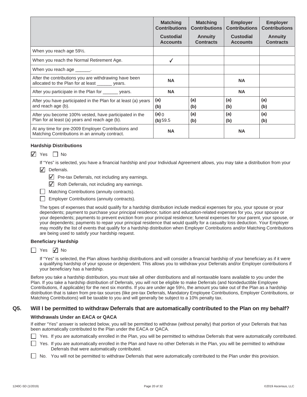|                                                                                                           | <b>Matching</b><br><b>Contributions</b><br><b>Custodial</b><br><b>Accounts</b> | <b>Matching</b><br><b>Contributions</b><br><b>Annuity</b><br><b>Contracts</b> | <b>Employer</b><br><b>Contributions</b><br><b>Custodial</b><br><b>Accounts</b> | <b>Employer</b><br><b>Contributions</b><br><b>Annuity</b><br><b>Contracts</b> |
|-----------------------------------------------------------------------------------------------------------|--------------------------------------------------------------------------------|-------------------------------------------------------------------------------|--------------------------------------------------------------------------------|-------------------------------------------------------------------------------|
| When you reach age 591/2.                                                                                 |                                                                                |                                                                               |                                                                                |                                                                               |
| When you reach the Normal Retirement Age.                                                                 |                                                                                |                                                                               |                                                                                |                                                                               |
| When you reach age _______.                                                                               |                                                                                |                                                                               |                                                                                |                                                                               |
| After the contributions you are withdrawing have been<br>allocated to the Plan for at least ______ years. | <b>NA</b>                                                                      |                                                                               | <b>NA</b>                                                                      |                                                                               |
| After you participate in the Plan for _______ years.                                                      | <b>NA</b>                                                                      |                                                                               | <b>NA</b>                                                                      |                                                                               |
| After you have participated in the Plan for at least (a) years<br>and reach age (b).                      | (a)<br>(b)                                                                     | (a)<br>(b)                                                                    | (a)<br>(b)                                                                     | (a)<br>(b)                                                                    |
| After you become 100% vested, have participated in the<br>Plan for at least (a) years and reach age (b).  | $(a)$ 0<br>$(b)$ 59.5                                                          | (a)<br>(b)                                                                    | (a)<br>(b)                                                                     | (a)<br>(b)                                                                    |
| At any time for pre-2009 Employer Contributions and<br>Matching Contributions in an annuity contract.     | <b>NA</b>                                                                      |                                                                               | <b>NA</b>                                                                      |                                                                               |

#### **Hardship Distributions**

|  |  |  | N٥ |
|--|--|--|----|
|--|--|--|----|

If "Yes" is selected, you have a financial hardship and your Individual Agreement allows, you may take a distribution from your

 $\overline{\sqrt{\ }}$  Deferrals.

 $\sqrt{ }$  Pre-tax Deferrals, not including any earnings.

 $\sqrt{\phantom{a}}$  Roth Deferrals, not including any earnings.

Matching Contributions (annuity contracts).

Employer Contributions (annuity contracts).

The types of expenses that would qualify for a hardship distribution include medical expenses for you, your spouse or your dependents; payment to purchase your principal residence; tuition and education-related expenses for you, your spouse or your dependents; payments to prevent eviction from your principal residence; funeral expenses for your parent, your spouse, or your dependents; payments to repair your principal residence that would qualify for a casualty loss deduction. Your Employer may modify the list of events that qualify for a hardship distribution when Employer Contributions and/or Matching Contributions are being used to satisfy your hardship request.

#### **Beneficiary Hardship**

If "Yes" is selected, the Plan allows hardship distributions and will consider a financial hardship of your beneficiary as if it were a qualifying hardship of your spouse or dependent. This allows you to withdraw your Deferrals and/or Employer contributions if your beneficiary has a hardship.

Before you take a hardship distribution, you must take all other distributions and all nontaxable loans available to you under the Plan. If you take a hardship distribution of Deferrals, you will not be eligible to make Deferrals (and Nondeductible Employee Contributions, if applicable) for the next six months. If you are under age 59½, the amount you take out of the Plan as a hardship distribution that is taken from pre-tax sources (like pre-tax Deferrals, Mandatory Employee Contributions, Employer Contributions, or Matching Contributions) will be taxable to you and will generally be subject to a 10% penalty tax.

#### **Q5. Will I be permitted to withdraw Deferrals that are automatically contributed to the Plan on my behalf?**

#### **Withdrawals Under an EACA or QACA**

If either "Yes" answer is selected below, you will be permitted to withdraw (without penalty) that portion of your Deferrals that has been automatically contributed to the Plan under the EACA or QACA.

Yes. If you are automatically enrolled in the Plan, you will be permitted to withdraw Deferrals that were automatically contributed.

| Yes. If you are automatically enrolled in the Plan and have no other Deferrals in the Plan, you will be permitted to withdraw |  |
|-------------------------------------------------------------------------------------------------------------------------------|--|
| Deferrals that were automatically contributed.                                                                                |  |

 $\Box$  No. You will not be permitted to withdraw Deferrals that were automatically contributed to the Plan under this provision.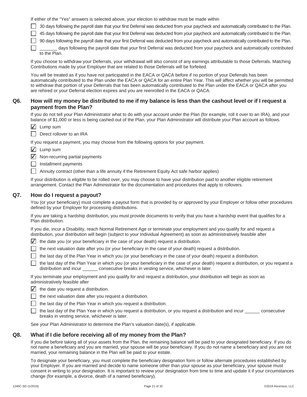If either of the "Yes" answers is selected above, your election to withdraw must be made within

30 days following the payroll date that your first Deferral was deducted from your paycheck and automatically contributed to the Plan.

45 days following the payroll date that your first Deferral was deducted from your paycheck and automatically contributed to the Plan.

90 days following the payroll date that your first Deferral was deducted from your paycheck and automatically contributed to the Plan.

 $\Box$  days following the payroll date that your first Deferral was deducted from your paycheck and automatically contributed to the Plan.

If you choose to withdraw your Deferrals, your withdrawal will also consist of any earnings attributable to those Deferrals. Matching Contributions made by your Employer that are related to those Deferrals will be forfeited.

You will be treated as if you have not participated in the EACA or QACA before if no portion of your Deferrals has been automatically contributed to the Plan under the EACA or QACA for an entire Plan Year. This will affect whether you will be permitted to withdraw that portion of your Deferrals that has been automatically contributed to the Plan under the EACA or QACA after you are rehired or your Deferral election expires and you are reenrolled in the EACA or QACA.

#### **Q6. How will my money be distributed to me if my balance is less than the cashout level or if I request a payment from the Plan?**

If you do not tell your Plan Administrator what to do with your account under the Plan (for example, roll it over to an IRA), and your balance of \$1,000 or less is being cashed-out of the Plan, your Plan Administrator will distribute your Plan account as follows.

 $\overline{\angle}$  Lump sum

Direct rollover to an IRA

If you request a payment, you may choose from the following options for your payment.

 $\overline{\angle}$  Lump sum

 $\overline{\mathcal{L}}$  Non-recurring partial payments

Installment payments

Annuity contract (other than a life annuity if the Retirement Equity Act safe harbor applies)

If your distribution is eligible to be rolled over, you may choose to have your distribution paid to another eligible retirement arrangement. Contact the Plan Administrator for the documentation and procedures that apply to rollovers.

#### **Q7. How do I request a payout?**

You (or your beneficiary) must complete a payout form that is provided by or approved by your Employer or follow other procedures defined by your Employer for processing distributions.

If you are taking a hardship distribution, you must provide documents to verify that you have a hardship event that qualifies for a Plan distribution.

If you die, incur a Disability, reach Normal Retirement Age or terminate your employment and you qualify for and request a distribution, your distribution will begin (subject to your Individual Agreement) as soon as administratively feasible after

- $\overline{\blacktriangle}$  the date you (or your beneficiary in the case of your death) request a distribution.
- $\Box$  the next valuation date after you (or your beneficiary in the case of your death) request a distribution.
- the last day of the Plan Year in which you (or your beneficiary in the case of your death) request a distribution.
- $\Box$  the last day of the Plan Year in which you (or your beneficiary in the case of your death) request a distribution, or you request a distribution and incur \_\_\_\_\_\_ consecutive breaks in vesting service, whichever is later.

If you terminate your employment and you qualify for and request a distribution, your distribution will begin as soon as administratively feasible after

 $\overline{\mathcal{L}}$  the date you request a distribution.

the next valuation date after you request a distribution.

- $\Box$  the last day of the Plan Year in which you request a distribution.
- $\Box$  the last day of the Plan Year in which you request a distribution, or you request a distribution and incur consecutive breaks in vesting service, whichever is later.

See your Plan Administrator to determine the Plan's valuation date(s), if applicable.

#### **Q8. What if I die before receiving all of my money from the Plan?**

If you die before taking all of your assets from the Plan, the remaining balance will be paid to your designated beneficiary. If you do not name a beneficiary and you are married, your spouse will be your beneficiary. If you do not name a beneficiary and you are not married, your remaining balance in the Plan will be paid to your estate.

To designate your beneficiary, you must complete the beneficiary designation form or follow alternate procedures established by your Employer. If you are married and decide to name someone other than your spouse as your beneficiary, your spouse must consent in writing to your designation. It is important to review your designation from time to time and update it if your circumstances change (for example, a divorce, death of a named beneficiary).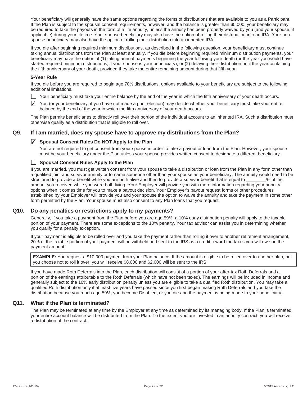Your beneficiary will generally have the same options regarding the forms of distributions that are available to you as a Participant. If the Plan is subject to the spousal consent requirements, however, and the balance is greater than \$5,000, your beneficiary may be required to take the payouts in the form of a life annuity, unless the annuity has been properly waived by you (and your spouse, if applicable) during your lifetime. Your spouse beneficiary may also have the option of rolling their distribution into an IRA. Your nonspouse beneficiary may also have the option of rolling their distribution into an inherited IRA.

If you die after beginning required minimum distributions, as described in the following question, your beneficiary must continue taking annual distributions from the Plan at least annually. If you die before beginning required minimum distribution payments, your beneficiary may have the option of (1) taking annual payments beginning the year following your death (or the year you would have started required minimum distributions, if your spouse is your beneficiary), or (2) delaying their distribution until the year containing the fifth anniversary of your death, provided they take the entire remaining amount during that fifth year.

#### **5-Year Rule**

If you die before you are required to begin age 70½ distributions, options available to your beneficiary are subject to the following additional limitations.

- Your beneficiary must take your entire balance by the end of the year in which the fifth anniversary of your death occurs.
- $\blacktriangledown$  You (or your beneficiary, if you have not made a prior election) may decide whether your beneficiary must take your entire balance by the end of the year in which the fifth anniversary of your death occurs.

The Plan permits beneficiaries to directly roll over their portion of the individual account to an inherited IRA. Such a distribution must otherwise qualify as a distribution that is eligible to roll over.

#### **Q9. If I am married, does my spouse have to approve my distributions from the Plan?**

#### **Spousal Consent Rules Do NOT Apply to the Plan**  ✔

You are not required to get consent from your spouse in order to take a payout or loan from the Plan. However, your spouse must be your beneficiary under the Plan unless your spouse provides written consent to designate a different beneficiary.

#### **Spousal Consent Rules Apply to the Plan**

If you are married, you must get written consent from your spouse to take a distribution or loan from the Plan in any form other than a qualified joint and survivor annuity or to name someone other than your spouse as your beneficiary. The annuity would need to be structured to provide a benefit while you are both alive and then to provide a survivor benefit that is equal to \_\_\_\_\_\_% of the amount you received while you were both living. Your Employer will provide you with more information regarding your annuity options when it comes time for you to make a payout decision. Your Employer's payout request forms or other procedures established by your Employer will provide you and your spouse the option to waive the annuity and take the payment in some other form permitted by the Plan. Your spouse must also consent to any Plan loans that you request.

#### **Q10. Do any penalties or restrictions apply to my payments?**

Generally, if you take a payment from the Plan before you are age 59½, a 10% early distribution penalty will apply to the taxable portion of your payment. There are some exceptions to the 10% penalty. Your tax advisor can assist you in determining whether you qualify for a penalty exception.

If your payment is eligible to be rolled over and you take the payment rather than rolling it over to another retirement arrangement, 20% of the taxable portion of your payment will be withheld and sent to the IRS as a credit toward the taxes you will owe on the payment amount.

**EXAMPLE:** You request a \$10,000 payment from your Plan balance. If the amount is eligible to be rolled over to another plan, but you choose not to roll it over, you will receive \$8,000 and \$2,000 will be sent to the IRS.

If you have made Roth Deferrals into the Plan, each distribution will consist of a portion of your after-tax Roth Deferrals and a portion of the earnings attributable to the Roth Deferrals (which have not been taxed). The earnings will be included in income and generally subject to the 10% early distribution penalty unless you are eligible to take a qualified Roth distribution. You may take a qualified Roth distribution only if at least five years have passed since you first began making Roth Deferrals and you take the distribution because you reach age 59½, you become Disabled, or you die and the payment is being made to your beneficiary.

#### **Q11. What if the Plan is terminated?**

The Plan may be terminated at any time by the Employer at any time as determined by its managing body. If the Plan is terminated, your entire account balance will be distributed from the Plan. To the extent you are invested in an annuity contract, you will receive a distribution of the contract.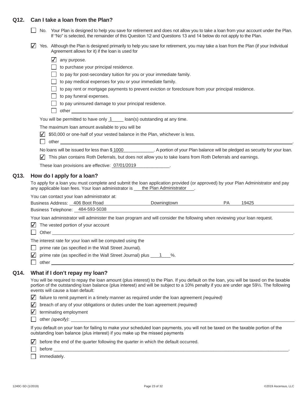#### **Q12. Can I take a loan from the Plan?**

| No. Your Plan is designed to help you save for retirement and does not allow you to take a loan from your account under the Plan. |
|-----------------------------------------------------------------------------------------------------------------------------------|
| If "No" is selected, the remainder of this Question 12 and Questions 13 and 14 below do not apply to the Plan.                    |

|  | √ Yes. Although the Plan is designed primarily to help you save for retirement, you may take a loan from the Plan (if your Individual |
|--|---------------------------------------------------------------------------------------------------------------------------------------|
|  | Agreement allows for it) if the loan is used for                                                                                      |

|  |  | $\sqrt{ }$ any purpose |
|--|--|------------------------|
|--|--|------------------------|

 $\Box$  to purchase your principal residence.

- $\Box$  to pay for post-secondary tuition for you or your immediate family.
- to pay medical expenses for you or your immediate family.
- to pay rent or mortgage payments to prevent eviction or foreclosure from your principal residence.
- $\Box$  to pay funeral expenses.
- to pay uninsured damage to your principal residence.
- other <u>the contract of the contract of the contract of the contract of the contract of the contract of the contract of the contract of the contract of the contract of the contract of the contract of the contract of the con</u>

You will be permitted to have only  $1$  [can(s) outstanding at any time.

The maximum loan amount available to you will be

- $\sqrt{ }$  \$50,000 or one-half of your vested balance in the Plan, whichever is less.
- other <u>the contract of the contract of the contract of the contract of the contract of the contract of the contract of the contract of the contract of the contract of the contract of the contract of the contract of the con</u>

. A portion of your Plan balance will be pledged as security for your loan. No loans will be issued for less than \$1000

 $\overline{\blacktriangle}$  This plan contains Roth Deferrals, but does not allow you to take loans from Roth Deferrals and earnings.

These loan provisions are effective: 07/01/2019

#### **Q13. How do I apply for a loan?**

To apply for a loan you must complete and submit the loan application provided (or approved) by your Plan Administrator and pay any applicable loan fees. Your loan administrator is <u>fill the Plan Administrator</u>.

You can contact your loan administrator at:

| <b>Business Address:</b>      | 406 Boot Road | Jowninatown | 0.12F |
|-------------------------------|---------------|-------------|-------|
| <b>Business</b><br>Felephone: | 484-593-5038  |             |       |

Your loan administrator will administer the loan program and will consider the following when reviewing your loan request.

 $\sqrt{ }$  The vested portion of your account

Other <u>the contract of the contract of the contract of the contract of the contract of the contract of the contract of the contract of the contract of the contract of the contract of the contract of the contract of the con</u>

The interest rate for your loan will be computed using the

**prime rate (as specified in the Wall Street Journal).** 

 $\overline{\angle}$  prime rate (as specified in the Wall Street Journal) plus  $12.8$ .

other <u>the contract of the contract of the contract of the contract of the contract of the contract of the contract of the contract of the contract of the contract of the contract of the contract of the contract of the con</u>

### **Q14. What if I don't repay my loan?**

You will be required to repay the loan amount (plus interest) to the Plan. If you default on the loan, you will be taxed on the taxable portion of the outstanding loan balance (plus interest) and will be subject to a 10% penalty if you are under age 59½. The following events will cause a loan default:

- $\overline{\sqrt{ }}$  failure to remit payment in a timely manner as required under the loan agreement *(required)*
- breach of any of your obligations or duties under the loan agreement *(required)* ✔

 $\sqrt{\phantom{a}}$  terminating employment

other *(specify)*:

If you default on your loan for failing to make your scheduled loan payments, you will not be taxed on the taxable portion of the outstanding loan balance (plus interest) if you make up the missed payments

|  | $\sqrt{\phantom{a}}$ before the end of the quarter following the quarter in which the default occurred. |  |  |
|--|---------------------------------------------------------------------------------------------------------|--|--|
|--|---------------------------------------------------------------------------------------------------------|--|--|

before \_\_\_\_\_\_\_\_\_BBBBBBBBBBBBBBBBBBBBBBBBBBBBBBBBBBBBBBBBBBBBBBBBBBBBBBBBBB\_\_\_\_\_BBBBBBBBBBBBBB\_\_\_\_\_\_\_\_.

 $\Box$  immediately.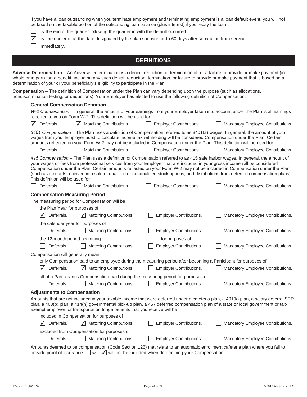If you have a loan outstanding when you terminate employment and terminating employment is a loan default event, you will not be taxed on the taxable portion of the outstanding loan balance (plus interest) if you repay the loan

 $\Box$  by the end of the quarter following the quarter in with the default occurred.

 $\overline{\blacklozenge}$  by the earlier of a) the date designated by the plan sponsor, or b) 60 days after separation from service  $\overline{\blacklozenge}$ 

 $\Box$  immediately.

### **DEFINITIONS**

Adverse Determination – An Adverse Determination is a denial, reduction, or termination of, or a failure to provide or make payment (in whole or in part) for, a benefit, including any such denial, reduction, termination, or failure to provide or make payment that is based on a determination of your or your beneficiary's eligibility to participate in the Plan.

**Compensation** – The definition of Compensation under the Plan can vary depending upon the purpose (such as allocations, nondiscrimination testing, or deductions). Your Employer has elected to use the following definition of Compensation.

| <b>General Compensation Definition</b>                                                                                                                                                                                                                                                                                                                  |                                                                                      |                                                                                                                            | W-2 Compensation - In general, the amount of your earnings from your Employer taken into account under the Plan is all earnings                                                                                                                                                                                                                                                                     |  |
|---------------------------------------------------------------------------------------------------------------------------------------------------------------------------------------------------------------------------------------------------------------------------------------------------------------------------------------------------------|--------------------------------------------------------------------------------------|----------------------------------------------------------------------------------------------------------------------------|-----------------------------------------------------------------------------------------------------------------------------------------------------------------------------------------------------------------------------------------------------------------------------------------------------------------------------------------------------------------------------------------------------|--|
|                                                                                                                                                                                                                                                                                                                                                         | reported to you on Form W-2. This definition will be used for                        |                                                                                                                            |                                                                                                                                                                                                                                                                                                                                                                                                     |  |
| Deferrals.<br>M                                                                                                                                                                                                                                                                                                                                         | $\sqrt{\phantom{a}}$ Matching Contributions.                                         | <b>Employer Contributions.</b>                                                                                             | Mandatory Employee Contributions.                                                                                                                                                                                                                                                                                                                                                                   |  |
|                                                                                                                                                                                                                                                                                                                                                         |                                                                                      | amounts reflected on your Form W-2 may not be included in Compensation under the Plan. This definition will be used for    | 3401 Compensation - The Plan uses a definition of Compensation referred to as 3401(a) wages. In general, the amount of your<br>wages from your Employer used to calculate income tax withholding will be considered Compensation under the Plan. Certain                                                                                                                                            |  |
| Deferrals.                                                                                                                                                                                                                                                                                                                                              | Matching Contributions.                                                              | <b>Employer Contributions.</b>                                                                                             | Mandatory Employee Contributions.                                                                                                                                                                                                                                                                                                                                                                   |  |
| This definition will be used for                                                                                                                                                                                                                                                                                                                        |                                                                                      | your wages or fees from professional services from your Employer that are included in your gross income will be considered | 415 Compensation - The Plan uses a definition of Compensation referred to as 415 safe harbor wages. In general, the amount of<br>Compensation under the Plan. Certain amounts reflected on your Form W-2 may not be included in Compensation under the Plan<br>(such as amounts received in a sale of qualified or nonqualified stock options, and distributions from deferred compensation plans). |  |
| Deferrals.                                                                                                                                                                                                                                                                                                                                              | Matching Contributions.                                                              | <b>Employer Contributions.</b>                                                                                             | Mandatory Employee Contributions.                                                                                                                                                                                                                                                                                                                                                                   |  |
| <b>Compensation Measuring Period</b>                                                                                                                                                                                                                                                                                                                    |                                                                                      |                                                                                                                            |                                                                                                                                                                                                                                                                                                                                                                                                     |  |
|                                                                                                                                                                                                                                                                                                                                                         | The measuring period for Compensation will be                                        |                                                                                                                            |                                                                                                                                                                                                                                                                                                                                                                                                     |  |
| the Plan Year for purposes of                                                                                                                                                                                                                                                                                                                           |                                                                                      |                                                                                                                            |                                                                                                                                                                                                                                                                                                                                                                                                     |  |
| V<br>Deferrals.                                                                                                                                                                                                                                                                                                                                         | Matching Contributions.                                                              | <b>Employer Contributions.</b>                                                                                             | Mandatory Employee Contributions.                                                                                                                                                                                                                                                                                                                                                                   |  |
|                                                                                                                                                                                                                                                                                                                                                         | the calendar year for purposes of                                                    |                                                                                                                            |                                                                                                                                                                                                                                                                                                                                                                                                     |  |
| Deferrals.                                                                                                                                                                                                                                                                                                                                              | Matching Contributions.                                                              | <b>Employer Contributions.</b>                                                                                             | Mandatory Employee Contributions.                                                                                                                                                                                                                                                                                                                                                                   |  |
| the 12-month period beginning                                                                                                                                                                                                                                                                                                                           |                                                                                      | for purposes of                                                                                                            |                                                                                                                                                                                                                                                                                                                                                                                                     |  |
| Deferrals.                                                                                                                                                                                                                                                                                                                                              | Matching Contributions.                                                              | <b>Employer Contributions.</b>                                                                                             | Mandatory Employee Contributions.                                                                                                                                                                                                                                                                                                                                                                   |  |
| Compensation will generally mean                                                                                                                                                                                                                                                                                                                        |                                                                                      |                                                                                                                            |                                                                                                                                                                                                                                                                                                                                                                                                     |  |
|                                                                                                                                                                                                                                                                                                                                                         |                                                                                      | only Compensation paid to an employee during the measuring period after becoming a Participant for purposes of             |                                                                                                                                                                                                                                                                                                                                                                                                     |  |
| V<br>Deferrals.                                                                                                                                                                                                                                                                                                                                         | Matching Contributions.                                                              | <b>Employer Contributions.</b>                                                                                             | Mandatory Employee Contributions.                                                                                                                                                                                                                                                                                                                                                                   |  |
|                                                                                                                                                                                                                                                                                                                                                         | all of a Participant's Compensation paid during the measuring period for purposes of |                                                                                                                            |                                                                                                                                                                                                                                                                                                                                                                                                     |  |
| Deferrals.                                                                                                                                                                                                                                                                                                                                              | Matching Contributions.                                                              | <b>Employer Contributions.</b>                                                                                             | Mandatory Employee Contributions.                                                                                                                                                                                                                                                                                                                                                                   |  |
| <b>Adjustments to Compensation</b>                                                                                                                                                                                                                                                                                                                      |                                                                                      |                                                                                                                            |                                                                                                                                                                                                                                                                                                                                                                                                     |  |
| Amounts that are not included in your taxable income that were deferred under a cafeteria plan, a 401(k) plan, a salary deferral SEP<br>plan, a 403(b) plan, a 414(h) governmental pick-up plan, a 457 deferred compensation plan of a state or local government or tax-<br>exempt employer, or transportation fringe benefits that you receive will be |                                                                                      |                                                                                                                            |                                                                                                                                                                                                                                                                                                                                                                                                     |  |
|                                                                                                                                                                                                                                                                                                                                                         | included in Compensation for purposes of                                             |                                                                                                                            |                                                                                                                                                                                                                                                                                                                                                                                                     |  |
| V<br>Deferrals.                                                                                                                                                                                                                                                                                                                                         | Matching Contributions.                                                              | <b>Employer Contributions.</b>                                                                                             | Mandatory Employee Contributions.                                                                                                                                                                                                                                                                                                                                                                   |  |
|                                                                                                                                                                                                                                                                                                                                                         | excluded from Compensation for purposes of                                           |                                                                                                                            |                                                                                                                                                                                                                                                                                                                                                                                                     |  |
| Deferrals.                                                                                                                                                                                                                                                                                                                                              | Matching Contributions.                                                              | <b>Employer Contributions.</b>                                                                                             | Mandatory Employee Contributions.                                                                                                                                                                                                                                                                                                                                                                   |  |

Amounts deemed to be compensation (Code Section 125) that relate to an automatic enrollment cafeteria plan where you fail to provide proof of insurance  $\Box$  will  $\Box$  will not be included when determining your Compensation.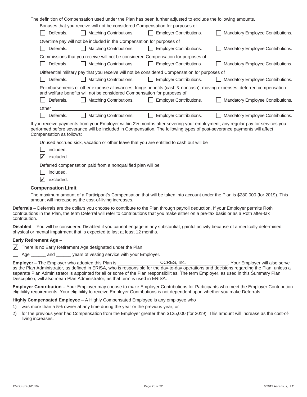| The definition of Compensation used under the Plan has been further adjusted to exclude the following amounts. |                                                                                                |                                                |                                                                                                                      |  |
|----------------------------------------------------------------------------------------------------------------|------------------------------------------------------------------------------------------------|------------------------------------------------|----------------------------------------------------------------------------------------------------------------------|--|
|                                                                                                                | Bonuses that you receive will not be considered Compensation for purposes of                   |                                                |                                                                                                                      |  |
| Deferrals.                                                                                                     | <b>Matching Contributions.</b>                                                                 | <b>Employer Contributions.</b>                 | Mandatory Employee Contributions.                                                                                    |  |
|                                                                                                                | Overtime pay will not be included in the Compensation for purposes of                          |                                                |                                                                                                                      |  |
| Deferrals.                                                                                                     | <b>Matching Contributions.</b>                                                                 | <b>Employer Contributions.</b>                 | Mandatory Employee Contributions.                                                                                    |  |
|                                                                                                                | Commissions that you receive will not be considered Compensation for purposes of               |                                                |                                                                                                                      |  |
| Deferrals.                                                                                                     | <b>Matching Contributions.</b>                                                                 | <b>Employer Contributions.</b><br>$\mathbf{1}$ | Mandatory Employee Contributions.                                                                                    |  |
|                                                                                                                | Differential military pay that you receive will not be considered Compensation for purposes of |                                                |                                                                                                                      |  |
| Deferrals.                                                                                                     | <b>Matching Contributions.</b>                                                                 | <b>Employer Contributions.</b><br>$\perp$      | Mandatory Employee Contributions.                                                                                    |  |
|                                                                                                                | and welfare benefits will not be considered Compensation for purposes of                       |                                                | Reimbursements or other expense allowances, fringe benefits (cash & noncash), moving expenses, deferred compensation |  |
| Deferrals.                                                                                                     | <b>Matching Contributions.</b>                                                                 | <b>Employer Contributions.</b>                 | Mandatory Employee Contributions.                                                                                    |  |
| Other                                                                                                          |                                                                                                |                                                |                                                                                                                      |  |
| Deferrals.                                                                                                     | Matching Contributions.                                                                        | <b>Employer Contributions.</b>                 | Mandatory Employee Contributions.                                                                                    |  |

If you receive payments from your Employer within 2½ months after severing your employment, any regular pay for services you performed before severance will be included in Compensation. The following types of post-severance payments will affect Compensation as follows:

Unused accrued sick, vacation or other leave that you are entitled to cash out will be

- included.
- $\sqrt{\phantom{a}}$  excluded.

Deferred compensation paid from a nonqualified plan will be

- $\Box$  included.
- $\overline{\mathcal{L}}$  excluded.

#### **Compensation Limit**

The maximum amount of a Participant's Compensation that will be taken into account under the Plan is \$280,000 (for 2019). This amount will increase as the cost-of-living increases.

**Deferrals** – Deferrals are the dollars you choose to contribute to the Plan through payroll deduction. If your Employer permits Roth contributions in the Plan, the term Deferral will refer to contributions that you make either on a pre-tax basis or as a Roth after-tax contribution.

**Disabled** – You will be considered Disabled if you cannot engage in any substantial, gainful activity because of a medically determined physical or mental impairment that is expected to last at least 12 months.

#### **Early Retirement Age** –

 $\overline{\sqrt{ }}$  There is no Early Retirement Age designated under the Plan.

 $\Box$  Age and years of vesting service with your Employer.

**Employer** – The Employer who adopted this Plan is \_\_\_\_\_\_\_\_\_\_\_\_\_\_\_\_\_\_\_\_\_\_\_\_\_\_\_\_\_\_\_\_\_\_\_\_\_\_\_\_\_\_\_\_. Your Employer will also serve as the Plan Administrator, as defined in ERISA, who is responsible for the day-to-day operations and decisions regarding the Plan, unless a separate Plan Administrator is appointed for all or some of the Plan responsibilities. The term Employer, as used in this Summary Plan Description, will also mean Plan Administrator, as that term is used in ERISA. CCRES, Inc.

**Employer Contribution** – Your Employer may choose to make Employer Contributions for Participants who meet the Employer Contribution eligibility requirements. Your eligibility to receive Employer Contributions is not dependent upon whether you make Deferrals.

**Highly Compensated Employee** – A Highly Compensated Employee is any employee who

- 1) was more than a 5% owner at any time during the year or the previous year, or
- 2) for the previous year had Compensation from the Employer greater than \$125,000 (for 2019). This amount will increase as the cost-ofliving increases.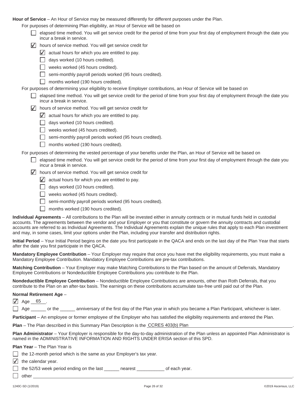Hour of Service – An Hour of Service may be measured differently for different purposes under the Plan.

For purposes of determining Plan eligibility, an Hour of Service will be based on

- elapsed time method. You will get service credit for the period of time from your first day of employment through the date you incur a break in service.
- $\overline{\sqrt{ }}$  hours of service method. You will get service credit for
	- $\overline{\angle}$  actual hours for which you are entitled to pay.
	- days worked (10 hours credited).
	- $\Box$  weeks worked (45 hours credited).
	- Semi-monthly payroll periods worked (95 hours credited).
	- months worked (190 hours credited).

For purposes of determining your eligibility to receive Employer contributions, an Hour of Service will be based on

 $\Box$  elapsed time method. You will get service credit for the period of time from your first day of employment through the date you incur a break in service.

- $\overline{\sqrt{ }}$  hours of service method. You will get service credit for
	- $\overline{\angle}$  actual hours for which you are entitled to pay.
	- days worked (10 hours credited).
	- $\Box$  weeks worked (45 hours credited).
	- $\Box$  semi-monthly payroll periods worked (95 hours credited).
	- months worked (190 hours credited).

For purposes of determining the vested percentage of your benefits under the Plan, an Hour of Service will be based on

- $\Box$  elapsed time method. You will get service credit for the period of time from your first day of employment through the date you incur a break in service.
- $\sqrt{ }$  hours of service method. You will get service credit for
	- $\overline{\angle}$  actual hours for which you are entitled to pay.
	- $\Box$  days worked (10 hours credited).
	- $\Box$  weeks worked (45 hours credited).
	- $\Box$  semi-monthly payroll periods worked (95 hours credited).
	- months worked (190 hours credited).

**Individual Agreements** – All contributions to the Plan will be invested either in annuity contracts or in mutual funds held in custodial accounts. The agreements between the vendor and your Employer or you that constitute or govern the annuity contracts and custodial accounts are referred to as Individual Agreements. The Individual Agreements explain the unique rules that apply to each Plan investment and may, in some cases, limit your options under the Plan, including your transfer and distribution rights.

**Initial Period** – Your Initial Period begins on the date you first participate in the QACA and ends on the last day of the Plan Year that starts after the date you first participate in the QACA.

**Mandatory Employee Contribution** – Your Employer may require that once you have met the eligibility requirements, you must make a Mandatory Employee Contribution. Mandatory Employee Contributions are pre-tax contributions.

**Matching Contribution** – Your Employer may make Matching Contributions to the Plan based on the amount of Deferrals, Mandatory Employee Contributions or Nondeductible Employee Contributions you contribute to the Plan.

**Nondeductible Employee Contribution** – Nondeductible Employee Contributions are amounts, other than Roth Deferrals, that you contribute to the Plan on an after-tax basis. The earnings on these contributions accumulate tax-free until paid out of the Plan.

#### **Normal Retirement Age** –

 $\sqrt{}$  Age 65.

Age \_\_\_\_\_\_ or the \_\_\_\_\_\_ anniversary of the first day of the Plan year in which you became a Plan Participant, whichever is later.

**Participant** – An employee or former employee of the Employer who has satisfied the eligibility requirements and entered the Plan.

**Plan** – The Plan described in this Summary Plan Description is the CCRES 403(b) Plan **COVID-1** (1998) 2014

**Plan Administrator** – Your Employer is responsible for the day-to-day administration of the Plan unless an appointed Plan Administrator is named in the ADMINISTRATIVE INFORMATION AND RIGHTS UNDER ERISA section of this SPD.

**Plan Year** – The Plan Year is

|  | $\Box$ the 12-month period which is the same as your Employer's tax year. |  |  |  |  |
|--|---------------------------------------------------------------------------|--|--|--|--|
|--|---------------------------------------------------------------------------|--|--|--|--|

 $\overline{\mathcal{L}}$  the calendar year.

the 52/53 week period ending on the last \_\_\_\_\_\_ nearest \_\_\_\_\_\_\_\_\_\_\_ of each year.

other <u>the contract of the contract of the contract of the contract of the contract of the contract of the contract of the contract of the contract of the contract of the contract of the contract of the contract of the con</u>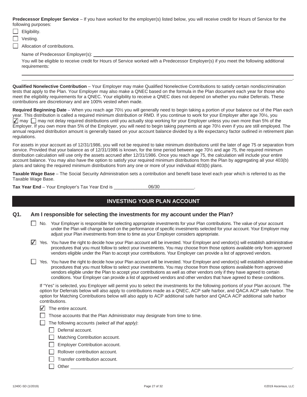**Predecessor Employer Service** – If you have worked for the employer(s) listed below, you will receive credit for Hours of Service for the following purposes:

 $\Box$  Eligibility.

Vesting.

Allocation of contributions.

Name of Predecessor Employer(s):

You will be eligible to receive credit for Hours of Service worked with a Predecessor Employer(s) if you meet the following additional requirements:

**Qualified Nonelective Contribution** – Your Employer may make Qualified Nonelective Contributions to satisfy certain nondiscrimination tests that apply to the Plan. Your Employer may also make a QNEC based on the formula in the Plan document each year for those who meet the eligibility requirements for a QNEC. Your eligibility to receive a QNEC does not depend on whether you make Deferrals. These contributions are discretionary and are 100% vested when made.

**Required Beginning Date** – When you reach age 70½ you will generally need to begin taking a portion of your balance out of the Plan each year. This distribution is called a required minimum distribution or RMD. If you continue to work for your Employer after age 70½, you  $\blacktriangledown$  may  $\Box$  may not delay required distributions until you actually stop working for your Employer unless you own more than 5% of the Employer. If you own more than 5% of the Employer, you will need to begin taking payments at age 70½ even if you are still employed. The annual required distribution amount is generally based on your account balance divided by a life expectancy factor outlined in retirement plan regulations.

For assets in your account as of 12/31/1986, you will not be required to take minimum distributions until the later of age 75 or separation from service. Provided that your balance as of 12/31/1986 is known, for the time period between age 70½ and age 75, the required minimum distribution calculation will use only the assets accrued after 12/31/1986. Once you reach age 75, the calculation will include your entire account balance. You may also have the option to satisfy your required minimum distributions from the Plan by aggregating all your 403(b) plans and taking the required minimum distributions from any one or more of your individual 403(b) plans.

**Taxable Wage Base** – The Social Security Administration sets a contribution and benefit base level each year which is referred to as the Taxable Wage Base.

Tax Year End - Your Employer's Tax Year End is \_\_\_\_\_\_\_\_\_\_\_\_\_\_\_\_\_\_\_\_\_\_\_\_\_\_\_\_\_\_\_\_\_ 06/30

### **INVESTING YOUR PLAN ACCOUNT**

#### **Q1. Am I responsible for selecting the investments for my account under the Plan?**

| No. Your Employer is responsible for selecting appropriate investments for your Plan contributions. The value of your account |
|-------------------------------------------------------------------------------------------------------------------------------|
| under the Plan will change based on the performance of specific investments selected for your account. Your Employer may      |
| adjust your Plan investments from time to time as your Employer considers appropriate.                                        |

|  | √ Yes. You have the right to decide how your Plan account will be invested. Your Employer and vendor(s) will establish administrative |
|--|---------------------------------------------------------------------------------------------------------------------------------------|
|  | procedures that you must follow to select your investments. You may choose from those options available only from approved            |
|  | vendors eligible under the Plan to accept your contributions. Your Employer can provide a list of approved vendors.                   |

Yes. You have the right to decide how your Plan account will be invested. Your Employer and vendor(s) will establish administrative procedures that you must follow to select your investments. You may choose from those options available from approved vendors eligible under the Plan to accept your contributions as well as other vendors only if they have agreed to certain conditions. Your Employer can provide a list of approved vendors and other vendors that have agreed to these conditions.

If "Yes" is selected, you Employer will permit you to select the investments for the following portions of your Plan account. The option for Deferrals below will also apply to contributions made as a QNEC, ACP safe harbor, and QACA ACP safe harbor. The option for Matching Contributions below will also apply to ACP additional safe harbor and QACA ACP additional safe harbor contributions.

- $\overline{\sqrt{\ }}$  The entire account.
- $\Box$  Those accounts that the Plan Administrator may designate from time to time.
	- The following accounts *(select all that apply)*:
		- $\Box$  Deferral account.
		- **Matching Contribution account.**
		- Employer Contribution account.
		- **Rollover contribution account.**
		- $\Box$  Transfer contribution account.

Other <u>the contract of the contract of the contract of the contract of the contract of the contract of the contract of the contract of the contract of the contract of the contract of the contract of the contract of the con</u>

Г

.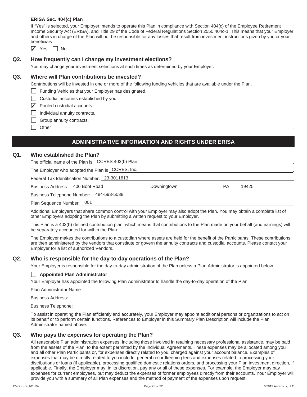#### **ERISA Sec. 404(c) Plan**

If "Yes" is selected, your Employer intends to operate this Plan in compliance with Section 404(c) of the Employee Retirement Income Security Act (ERISA), and Title 29 of the Code of Federal Regulations Section 2550.404c-1. This means that your Employer and others in charge of the Plan will not be responsible for any losses that result from investment instructions given by you or your beneficiary.

 $\sqrt{ }$  Yes  $\Box$  No

#### **Q2. How frequently can I change my investment elections?**

You may change your investment selections at such times as determined by your Employer.

#### **Q3. Where will Plan contributions be invested?**

Contributions will be invested in one or more of the following funding vehicles that are available under the Plan.

- Funding Vehicles that your Employer has designated.
- $\Box$  Custodial accounts established by you.
- $\sqrt{\phantom{a}}$  Pooled custodial accounts.
- $\Box$  Individual annuity contracts.
- | Group annuity contracts.
	- Other <u>the contract of the contract of the contract of the contract of the contract of the contract of the contract of the contract of the contract of the contract of the contract of the contract of the contract of the con</u>

### **ADMINISTRATIVE INFORMATION AND RIGHTS UNDER ERISA**

#### **Q1. Who established the Plan?**

The official name of the Plan is . CCRES 403(b) Plan

The Employer who adopted the Plan is \_CCRES, Inc. **Example 20** is the end of the end of the end of the end of the end of the end of the end of the end of the end of the end of the end of the end of the end of the end of th

Federal Tax Identification Number: 23-3011813

Business Address: 406 Boot Road

Downingtown PA 19425

Business Telephone Number: 484-593-5038

Plan Sequence Number: 001

Additional Employers that share common control with your Employer may also adopt the Plan. You may obtain a complete list of other Employers adopting the Plan by submitting a written request to your Employer.

This Plan is a 403(b) defined contribution plan, which means that contributions to the Plan made on your behalf (and earnings) will be separately accounted for within the Plan.

The Employer makes the contributions to a custodian where assets are held for the benefit of the Participants. These contributions are then administered by the vendors that constitute or govern the annuity contracts and custodial accounts. Please contact your Employer for a list of authorized Vendors.

#### **Q2. Who is responsible for the day-to-day operations of the Plan?**

Your Employer is responsible for the day-to-day administration of the Plan unless a Plan Administrator is appointed below.

#### **Appointed Plan Administrator**

Your Employer has appointed the following Plan Administrator to handle the day-to-day operation of the Plan.

Plan Administrator Name:

Business Address:

Business Telephone:

To assist in operating the Plan efficiently and accurately, your Employer may appoint additional persons or organizations to act on its behalf or to perform certain functions. References to Employer in this Summary Plan Description will include the Plan Administrator named above.

#### **Q3. Who pays the expenses for operating the Plan?**

All reasonable Plan administration expenses, including those involved in retaining necessary professional assistance, may be paid from the assets of the Plan, to the extent permitted by the Individual Agreements. These expenses may be allocated among you and all other Plan Participants or, for expenses directly related to you, charged against your account balance. Examples of expenses that may be directly related to you include: general recordkeeping fees and expenses related to processing your distributions or loans (if applicable), processing qualified domestic relations orders, and processing your Plan investment direction, if applicable. Finally, the Employer may, in its discretion, pay any or all of these expenses. For example, the Employer may pay expenses for current employees, but may deduct the expenses of former employees directly from their accounts. Your Employer will provide you with a summary of all Plan expenses and the method of payment of the expenses upon request.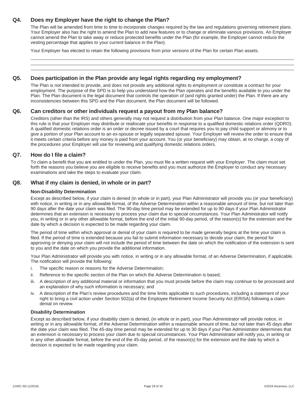#### **Q4. Does my Employer have the right to change the Plan?**

The Plan will be amended from time to time to incorporate changes required by the law and regulations governing retirement plans. Your Employer also has the right to amend the Plan to add new features or to change or eliminate various provisions. An Employer cannot amend the Plan to take away or reduce protected benefits under the Plan (for example, the Employer cannot reduce the vesting percentage that applies to your current balance in the Plan).

Your Employer has elected to retain the following provisions from prior versions of the Plan for certain Plan assets.

#### **Q5. Does participation in the Plan provide any legal rights regarding my employment?**

The Plan is not intended to provide, and does not provide any additional rights to employment or constitute a contract for your employment. The purpose of the SPD is to help you understand how the Plan operates and the benefits available to you under the Plan. The Plan document is the legal document that controls the operation of (and rights granted under) the Plan. If there are any inconsistencies between this SPD and the Plan document, the Plan document will be followed.

#### **Q6. Can creditors or other individuals request a payout from my Plan balance?**

Creditors (other than the IRS) and others generally may not request a distribution from your Plan balance. One major exception to this rule is that your Employer may distribute or reallocate your benefits in response to a qualified domestic relations order (QDRO). A qualified domestic relations order is an order or decree issued by a court that requires you to pay child support or alimony or to give a portion of your Plan account to an ex-spouse or legally separated spouse. Your Employer will review the order to ensure that it meets certain criteria before any money is paid from your account. You (or your beneficiary) may obtain, at no charge, a copy of the procedures your Employer will use for reviewing and qualifying domestic relations orders.

#### **Q7. How do I file a claim?**

To claim a benefit that you are entitled to under the Plan, you must file a written request with your Employer. The claim must set forth the reasons you believe you are eligible to receive benefits and you must authorize the Employer to conduct any necessary examinations and take the steps to evaluate your claim.

#### **Q8. What if my claim is denied, in whole or in part?**

#### **Non-Disability Determination**

Except as described below, if your claim is denied (in whole or in part), your Plan Administrator will provide you (or your beneficiary) with notice, in writing or in any allowable format, of the Adverse Determination within a reasonable amount of time, but not later than 90 days after the date your claim was filed. The 90-day time period may be extended for up to 90 days if your Plan Administrator determines that an extension is necessary to process your claim due to special circumstances. Your Plan Administrator will notify you, in writing or in any other allowable format, before the end of the initial 90-day period, of the reason(s) for the extension and the date by which a decision is expected to be made regarding your claim.

The period of time within which approval or denial of your claim is required to be made generally begins at the time your claim is filed. If the period of time is extended because you fail to submit information necessary to decide your claim, the period for approving or denying your claim will not include the period of time between the date on which the notification of the extension is sent to you and the date on which you provide the additional information.

Your Plan Administrator will provide you with notice, in writing or in any allowable format, of an Adverse Determination, if applicable. The notification will provide the following:

- i. The specific reason or reasons for the Adverse Determination;
- ii. Reference to the specific section of the Plan on which the Adverse Determination is based;
- iii. A description of any additional material or information that you must provide before the claim may continue to be processed and an explanation of why such information is necessary; and
- iv. A description of the Plan's review procedures and the time limits applicable to such procedures, including a statement of your right to bring a civil action under Section 502(a) of the Employee Retirement Income Security Act (ERISA) following a claim denial on review.

#### **Disability Determination**

Except as described below, if your disability claim is denied, (in whole or in part), your Plan Administrator will provide notice, in writing or in any allowable format, of the Adverse Determination within a reasonable amount of time, but not later than 45 days after the date your claim was filed. The 45-day time period may be extended for up to 30 days if your Plan Administrator determines that an extension is necessary to process your claim due to special circumstances. Your Plan Administrator will notify you, in writing or in any other allowable format, before the end of the 45-day period, of the reason(s) for the extension and the date by which a decision is expected to be made regarding your claim.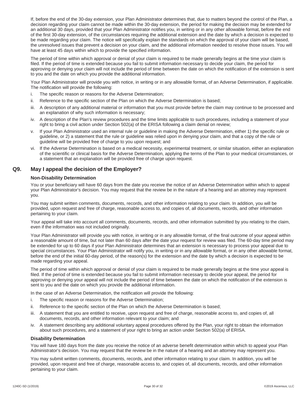If, before the end of the 30-day extension, your Plan Administrator determines that, due to matters beyond the control of the Plan, a decision regarding your claim cannot be made within the 30-day extension, the period for making the decision may be extended for an additional 30 days, provided that your Plan Administrator notifies you, in writing or in any other allowable format, before the end of the first 30-day extension, of the circumstances requiring the additional extension and the date by which a decision is expected to be made regarding your claim. The notice will specifically explain the standards on which the approval of your claim will be based, the unresolved issues that prevent a decision on your claim, and the additional information needed to resolve those issues. You will have at least 45 days within which to provide the specified information.

The period of time within which approval or denial of your claim is required to be made generally begins at the time your claim is filed. If the period of time is extended because you fail to submit information necessary to decide your claim, the period for approving or denying your claim will not include the period of time between the date on which the notification of the extension is sent to you and the date on which you provide the additional information.

Your Plan Administrator will provide you with notice, in writing or in any allowable format, of an Adverse Determination, if applicable. The notification will provide the following:

- i. The specific reason or reasons for the Adverse Determination;
- ii. Reference to the specific section of the Plan on which the Adverse Determination is based;
- iii. A description of any additional material or information that you must provide before the claim may continue to be processed and an explanation of why such information is necessary;
- iv. A description of the Plan's review procedures and the time limits applicable to such procedures, including a statement of your right to bring a civil action under Section 502(a) of the ERISA following a claim denial on review;
- v. If your Plan Administrator used an internal rule or guideline in making the Adverse Determination, either 1) the specific rule or guideline, or 2) a statement that the rule or guideline was relied upon in denying your claim, and that a copy of the rule or guideline will be provided free of charge to you upon request; and
- vi. If the Adverse Determination is based on a medical necessity, experimental treatment, or similar situation, either an explanation of the scientific or clinical basis for the Adverse Determination, applying the terms of the Plan to your medical circumstances, or a statement that an explanation will be provided free of charge upon request.

#### **Q9. May I appeal the decision of the Employer?**

#### **Non-Disability Determination**

You or your beneficiary will have 60 days from the date you receive the notice of an Adverse Determination within which to appeal your Plan Administrator's decision. You may request that the review be in the nature of a hearing and an attorney may represent you.

You may submit written comments, documents, records, and other information relating to your claim. In addition, you will be provided, upon request and free of charge, reasonable access to, and copies of, all documents, records, and other information pertaining to your claim.

Your appeal will take into account all comments, documents, records, and other information submitted by you relating to the claim, even if the information was not included originally.

Your Plan Administrator will provide you with notice, in writing or in any allowable format, of the final outcome of your appeal within a reasonable amount of time, but not later than 60 days after the date your request for review was filed. The 60-day time period may be extended for up to 60 days if your Plan Administrator determines that an extension is necessary to process your appeal due to special circumstances. Your Plan Administrator will notify you, in writing or in any allowable format, or in any other allowable format, before the end of the initial 60-day period, of the reason(s) for the extension and the date by which a decision is expected to be made regarding your appeal.

The period of time within which approval or denial of your claim is required to be made generally begins at the time your appeal is filed. If the period of time is extended because you fail to submit information necessary to decide your appeal, the period for approving or denying your appeal will not include the period of time between the date on which the notification of the extension is sent to you and the date on which you provide the additional information.

In the case of an Adverse Determination, the notification will provide the following:

- i. The specific reason or reasons for the Adverse Determination;
- ii. Reference to the specific section of the Plan on which the Adverse Determination is based;
- iii. A statement that you are entitled to receive, upon request and free of charge, reasonable access to, and copies of, all documents, records, and other information relevant to your claim; and
- iv. A statement describing any additional voluntary appeal procedures offered by the Plan, your right to obtain the information about such procedures, and a statement of your right to bring an action under Section 502(a) of ERISA.

#### **Disability Determination**

You will have 180 days from the date you receive the notice of an adverse benefit determination within which to appeal your Plan Administrator's decision. You may request that the review be in the nature of a hearing and an attorney may represent you.

You may submit written comments, documents, records, and other information relating to your claim. In addition, you will be provided, upon request and free of charge, reasonable access to, and copies of, all documents, records, and other information pertaining to your claim.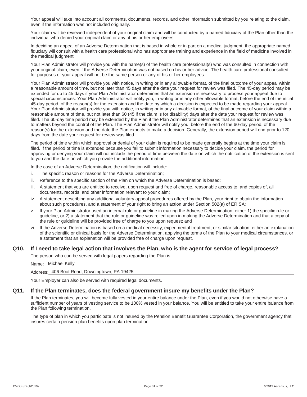Your appeal will take into account all comments, documents, records, and other information submitted by you relating to the claim, even if the information was not included originally.

Your claim will be reviewed independent of your original claim and will be conducted by a named fiduciary of the Plan other than the individual who denied your original claim or any of his or her employees.

In deciding an appeal of an Adverse Determination that is based in whole or in part on a medical judgment, the appropriate named fiduciary will consult with a health care professional who has appropriate training and experience in the field of medicine involved in the medical judgment.

Your Plan Administrator will provide you with the name(s) of the health care professional(s) who was consulted in connection with your original claim, even if the Adverse Determination was not based on his or her advice. The health care professional consulted for purposes of your appeal will not be the same person or any of his or her employees.

Your Plan Administrator will provide you with notice, in writing or in any allowable format, of the final outcome of your appeal within a reasonable amount of time, but not later than 45 days after the date your request for review was filed. The 45-day period may be extended for up to 45 days if your Plan Administrator determines that an extension is necessary to process your appeal due to special circumstances. Your Plan Administrator will notify you, in writing or in any other allowable format, before the end of the initial 45-day period, of the reason(s) for the extension and the date by which a decision is expected to be made regarding your appeal. Your Plan Administrator will provide you with notice, in writing or in any allowable format, of the final outcome of your claim within a reasonable amount of time, but not later than 60 (45 if the claim is for disability) days after the date your request for review was filed. The 60-day time period may be extended by the Plan if the Plan Administrator determines that an extension is necessary due to matters beyond the control of the Plan. The Plan Administrator will notify you, before the end of the 60-day period, of the reason(s) for the extension and the date the Plan expects to make a decision. Generally, the extension period will end prior to 120 days from the date your request for review was filed.

The period of time within which approval or denial of your claim is required to be made generally begins at the time your claim is filed. If the period of time is extended because you fail to submit information necessary to decide your claim, the period for approving or denying your claim will not include the period of time between the date on which the notification of the extension is sent to you and the date on which you provide the additional information.

In the case of an Adverse Determination, the notification will include:

- i. The specific reason or reasons for the Adverse Determination;
- ii. Reference to the specific section of the Plan on which the Adverse Determination is based;
- iii. A statement that you are entitled to receive, upon request and free of charge, reasonable access to, and copies of, all documents, records, and other information relevant to your claim;
- iv. A statement describing any additional voluntary appeal procedures offered by the Plan, your right to obtain the information about such procedures, and a statement of your right to bring an action under Section 502(a) of ERISA;
- v. If your Plan Administrator used an internal rule or guideline in making the Adverse Determination, either 1) the specific rule or guideline, or 2) a statement that the rule or guideline was relied upon in making the Adverse Determination and that a copy of the rule or guideline will be provided free of charge to you upon request; and
- vi. If the Adverse Determination is based on a medical necessity, experimental treatment, or similar situation, either an explanation of the scientific or clinical basis for the Adverse Determination, applying the terms of the Plan to your medical circumstances, or a statement that an explanation will be provided free of charge upon request.

#### **Q10. If I need to take legal action that involves the Plan, who is the agent for service of legal process?**

The person who can be served with legal papers regarding the Plan is

Name: Michael Kelly

Address: 406 Boot Road, Downingtown, PA 19425

Your Employer can also be served with required legal documents.

#### **Q11. If the Plan terminates, does the federal government insure my benefits under the Plan?**

If the Plan terminates, you will become fully vested in your entire balance under the Plan, even if you would not otherwise have a sufficient number of years of vesting service to be 100% vested in your balance. You will be entitled to take your entire balance from the Plan following termination.

The type of plan in which you participate is not insured by the Pension Benefit Guarantee Corporation, the government agency that insures certain pension plan benefits upon plan termination.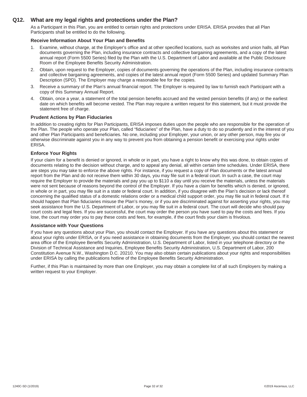#### **Q12. What are my legal rights and protections under the Plan?**

As a Participant in this Plan, you are entitled to certain rights and protections under ERISA. ERISA provides that all Plan Participants shall be entitled to do the following.

#### **Receive Information About Your Plan and Benefits**

- 1. Examine, without charge, at the Employer's office and at other specified locations, such as worksites and union halls, all Plan documents governing the Plan, including insurance contracts and collective bargaining agreements, and a copy of the latest annual report (Form 5500 Series) filed by the Plan with the U.S. Department of Labor and available at the Public Disclosure Room of the Employee Benefits Security Administration.
- 2. Obtain, upon request to the Employer, copies of documents governing the operations of the Plan, including insurance contracts and collective bargaining agreements, and copies of the latest annual report (Form 5500 Series) and updated Summary Plan Description (SPD). The Employer may charge a reasonable fee for the copies.
- 3. Receive a summary of the Plan's annual financial report. The Employer is required by law to furnish each Participant with a copy of this Summary Annual Report.
- 4. Obtain, once a year, a statement of the total pension benefits accrued and the vested pension benefits (if any) or the earliest date on which benefits will become vested. The Plan may require a written request for this statement, but it must provide the statement free of charge.

#### **Prudent Actions by Plan Fiduciaries**

In addition to creating rights for Plan Participants, ERISA imposes duties upon the people who are responsible for the operation of the Plan. The people who operate your Plan, called "fiduciaries" of the Plan, have a duty to do so prudently and in the interest of you and other Plan Participants and beneficiaries. No one, including your Employer, your union, or any other person, may fire you or otherwise discriminate against you in any way to prevent you from obtaining a pension benefit or exercising your rights under ERISA.

#### **Enforce Your Rights**

If your claim for a benefit is denied or ignored, in whole or in part, you have a right to know why this was done, to obtain copies of documents relating to the decision without charge, and to appeal any denial, all within certain time schedules. Under ERISA, there are steps you may take to enforce the above rights. For instance, if you request a copy of Plan documents or the latest annual report from the Plan and do not receive them within 30 days, you may file suit in a federal court. In such a case, the court may require the Employer to provide the materials and pay you up to \$110 a day until you receive the materials, unless the materials were not sent because of reasons beyond the control of the Employer. If you have a claim for benefits which is denied, or ignored, in whole or in part, you may file suit in a state or federal court. In addition, if you disagree with the Plan's decision or lack thereof concerning the qualified status of a domestic relations order or a medical child support order, you may file suit in federal court. If it should happen that Plan fiduciaries misuse the Plan's money, or if you are discriminated against for asserting your rights, you may seek assistance from the U.S. Department of Labor, or you may file suit in a federal court. The court will decide who should pay court costs and legal fees. If you are successful, the court may order the person you have sued to pay the costs and fees. If you lose, the court may order you to pay these costs and fees, for example, if the court finds your claim is frivolous.

#### **Assistance with Your Questions**

If you have any questions about your Plan, you should contact the Employer. If you have any questions about this statement or about your rights under ERISA, or if you need assistance in obtaining documents from the Employer, you should contact the nearest area office of the Employee Benefits Security Administration, U.S. Department of Labor, listed in your telephone directory or the Division of Technical Assistance and Inquiries, Employee Benefits Security Administration, U.S. Department of Labor, 200 Constitution Avenue N.W., Washington D.C. 20210. You may also obtain certain publications about your rights and responsibilities under ERISA by calling the publications hotline of the Employee Benefits Security Administration.

Further, if this Plan is maintained by more than one Employer, you may obtain a complete list of all such Employers by making a written request to your Employer.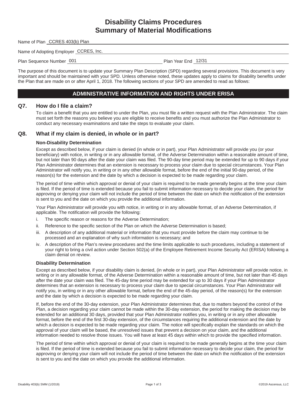## **Disability Claims Procedures Summary of Material Modifications**

Name of Plan **CCRES 403(b)** Plan

Name of Adopting Employer CCRES, Inc.

Plan Sequence Number 001

Plan Year End 12/31

The purpose of this document is to update your Summary Plan Description (SPD) regarding several provisions. This document is very important and should be maintained with your SPD. Unless otherwise noted, these updates apply to claims for disability benefits under the Plan that are made on or after April 1, 2018. The following sections of your SPD are amended to read as follows:

### **ADMINISTRATIVE INFORMATION AND RIGHTS UNDER ERISA**

#### **Q7. How do I file a claim?**

To claim a benefit that you are entitled to under the Plan, you must file a written request with the Plan Administrator. The claim must set forth the reasons you believe you are eligible to receive benefits and you must authorize the Plan Administrator to conduct any necessary examinations and take the steps to evaluate your claim.

#### **Q8. What if my claim is denied, in whole or in part?**

#### **Non-Disability Determination**

Except as described below, if your claim is denied (in whole or in part), your Plan Administrator will provide you (or your beneficiary) with notice, in writing or in any allowable format, of the Adverse Determination within a reasonable amount of time, but not later than 90 days after the date your claim was filed. The 90-day time period may be extended for up to 90 days if your Plan Administrator determines that an extension is necessary to process your claim due to special circumstances. Your Plan Administrator will notify you, in writing or in any other allowable format, before the end of the initial 90-day period, of the reason(s) for the extension and the date by which a decision is expected to be made regarding your claim.

The period of time within which approval or denial of your claim is required to be made generally begins at the time your claim is filed. If the period of time is extended because you fail to submit information necessary to decide your claim, the period for approving or denying your claim will not include the period of time between the date on which the notification of the extension is sent to you and the date on which you provide the additional information.

Your Plan Administrator will provide you with notice, in writing or in any allowable format, of an Adverse Determination, if applicable. The notification will provide the following:

- i. The specific reason or reasons for the Adverse Determination;
- ii. Reference to the specific section of the Plan on which the Adverse Determination is based;
- iii. A description of any additional material or information that you must provide before the claim may continue to be processed and an explanation of why such information is necessary; and
- iv. A description of the Plan's review procedures and the time limits applicable to such procedures, including a statement of your right to bring a civil action under Section 502(a) of the Employee Retirement Income Security Act (ERISA) following a claim denial on review.

#### **Disability Determination**

Except as described below, if your disability claim is denied, (in whole or in part), your Plan Administrator will provide notice, in writing or in any allowable format, of the Adverse Determination within a reasonable amount of time, but not later than 45 days after the date your claim was filed. The 45-day time period may be extended for up to 30 days if your Plan Administrator determines that an extension is necessary to process your claim due to special circumstances. Your Plan Administrator will notify you, in writing or in any other allowable format, before the end of the 45-day period, of the reason(s) for the extension and the date by which a decision is expected to be made regarding your claim.

If, before the end of the 30-day extension, your Plan Administrator determines that, due to matters beyond the control of the Plan, a decision regarding your claim cannot be made within the 30-day extension, the period for making the decision may be extended for an additional 30 days, provided that your Plan Administrator notifies you, in writing or in any other allowable format, before the end of the first 30-day extension, of the circumstances requiring the additional extension and the date by which a decision is expected to be made regarding your claim. The notice will specifically explain the standards on which the approval of your claim will be based, the unresolved issues that prevent a decision on your claim, and the additional information needed to resolve those issues. You will have at least 45 days within which to provide the specified information.

The period of time within which approval or denial of your claim is required to be made generally begins at the time your claim is filed. If the period of time is extended because you fail to submit information necessary to decide your claim, the period for approving or denying your claim will not include the period of time between the date on which the notification of the extension is sent to you and the date on which you provide the additional information.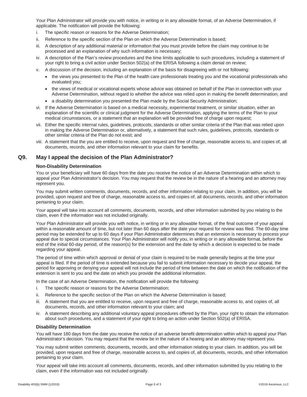Your Plan Administrator will provide you with notice, in writing or in any allowable format, of an Adverse Determination, if applicable. The notification will provide the following:

- i. The specific reason or reasons for the Adverse Determination;
- ii. Reference to the specific section of the Plan on which the Adverse Determination is based;
- iii. A description of any additional material or information that you must provide before the claim may continue to be processed and an explanation of why such information is necessary;
- iv. A description of the Plan's review procedures and the time limits applicable to such procedures, including a statement of your right to bring a civil action under Section 502(a) of the ERISA following a claim denial on review;
- v. A discussion of the decision, including an explanation of the basis for disagreeing with or not following:
	- the views you presented to the Plan of the health care professionals treating you and the vocational professionals who evaluated you;
	- the views of medical or vocational experts whose advice was obtained on behalf of the Plan in connection with your Adverse Determination, without regard to whether the advice was relied upon in making the benefit determination; and
	- a disability determination you presented the Plan made by the Social Security Administration;
- vi. If the Adverse Determination is based on a medical necessity, experimental treatment, or similar situation, either an explanation of the scientific or clinical judgment for the Adverse Determination, applying the terms of the Plan to your medical circumstances, or a statement that an explanation will be provided free of charge upon request;
- vii. Either the specific internal rules, guidelines, protocols, standards or other similar criteria of the Plan that was relied upon in making the Adverse Determination or, alternatively, a statement that such rules, guidelines, protocols, standards or other similar criteria of the Plan do not exist; and
- viii. A statement that the you are entitled to receive, upon request and free of charge, reasonable access to, and copies of, all documents, records, and other information relevant to your claim for benefits.

#### **Q9. May I appeal the decision of the Plan Administrator?**

#### **Non-Disability Determination**

You or your beneficiary will have 60 days from the date you receive the notice of an Adverse Determination within which to appeal your Plan Administrator's decision. You may request that the review be in the nature of a hearing and an attorney may represent you.

You may submit written comments, documents, records, and other information relating to your claim. In addition, you will be provided, upon request and free of charge, reasonable access to, and copies of, all documents, records, and other information pertaining to your claim.

Your appeal will take into account all comments, documents, records, and other information submitted by you relating to the claim, even if the information was not included originally.

Your Plan Administrator will provide you with notice, in writing or in any allowable format, of the final outcome of your appeal within a reasonable amount of time, but not later than 60 days after the date your request for review was filed. The 60-day time period may be extended for up to 60 days if your Plan Administrator determines that an extension is necessary to process your appeal due to special circumstances. Your Plan Administrator will notify you, in writing or in any allowable format, before the end of the initial 60-day period, of the reason(s) for the extension and the date by which a decision is expected to be made regarding your appeal.

The period of time within which approval or denial of your claim is required to be made generally begins at the time your appeal is filed. If the period of time is extended because you fail to submit information necessary to decide your appeal, the period for approving or denying your appeal will not include the period of time between the date on which the notification of the extension is sent to you and the date on which you provide the additional information.

In the case of an Adverse Determination, the notification will provide the following:

- i. The specific reason or reasons for the Adverse Determination;
- ii. Reference to the specific section of the Plan on which the Adverse Determination is based;
- iii. A statement that you are entitled to receive, upon request and free of charge, reasonable access to, and copies of, all documents, records, and other information relevant to your claim; and
- iv. A statement describing any additional voluntary appeal procedures offered by the Plan, your right to obtain the information about such procedures, and a statement of your right to bring an action under Section 502(a) of ERISA.

#### **Disability Determination**

You will have 180 days from the date you receive the notice of an adverse benefit determination within which to appeal your Plan Administrator's decision. You may request that the review be in the nature of a hearing and an attorney may represent you.

You may submit written comments, documents, records, and other information relating to your claim. In addition, you will be provided, upon request and free of charge, reasonable access to, and copies of, all documents, records, and other information pertaining to your claim.

Your appeal will take into account all comments, documents, records, and other information submitted by you relating to the claim, even if the information was not included originally.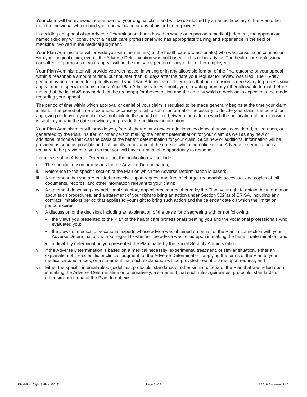Your claim will be reviewed independent of your original claim and will be conducted by a named fiduciary of the Plan other than the individual who denied your original claim or any of his or her employees.

In deciding an appeal of an Adverse Determination that is based in whole or in part on a medical judgment, the appropriate named fiduciary will consult with a health care professional who has appropriate training and experience in the field of medicine involved in the medical judgment.

Your Plan Administrator will provide you with the name(s) of the health care professional(s) who was consulted in connection with your original claim, even if the Adverse Determination was not based on his or her advice. The health care professional consulted for purposes of your appeal will not be the same person or any of his or her employees.

Your Plan Administrator will provide you with notice, in writing or in any allowable format, of the final outcome of your appeal within a reasonable amount of time, but not later than 45 days after the date your request for review was filed. The 45-day period may be extended for up to 45 days if your Plan Administrator determines that an extension is necessary to process your appeal due to special circumstances. Your Plan Administrator will notify you, in writing or in any other allowable format, before the end of the initial 45-day period, of the reason(s) for the extension and the date by which a decision is expected to be made regarding your appeal.

The period of time within which approval or denial of your claim is required to be made generally begins at the time your claim is filed. If the period of time is extended because you fail to submit information necessary to decide your claim, the period for approving or denying your claim will not include the period of time between the date on which the notification of the extension is sent to you and the date on which you provide the additional information.

Your Plan Administrator will provide you, free of charge, any new or additional evidence that was considered, relied upon, or generated by the Plan, insurer, or other person making the benefit determination for your claim as well as any new or additional rationale that was the basis of the benefit determination for your claim. Such new or additional information will be provided as soon as possible and sufficiently in advance of the date on which the notice of the Adverse Determination is required to be provided to you so that you will have a reasonable opportunity to respond.

In the case of an Adverse Determination, the notification will include:

- i. The specific reason or reasons for the Adverse Determination;
- ii. Reference to the specific section of the Plan on which the Adverse Determination is based;
- iii. A statement that you are entitled to receive, upon request and free of charge, reasonable access to, and copies of, all documents, records, and other information relevant to your claim;
- iv. A statement describing any additional voluntary appeal procedures offered by the Plan, your right to obtain the information about such procedures, and a statement of your right to bring an action under Section 502(a) of ERISA, including any contract limitations period that applies to your right to bring such action and the calendar date on which the limitation period expires;
- v. A discussion of the decision, including an explanation of the basis for disagreeing with or not following:
	- the views you presented to the Plan of the health care professionals treating you and the vocational professionals who evaluated you;
	- the views of medical or vocational experts whose advice was obtained on behalf of the Plan in connection with your Adverse Determination, without regard to whether the advice was relied upon in making the benefit determination; and
	- a disability determination you presented the Plan made by the Social Security Administration;
- vi. If the Adverse Determination is based on a medical necessity, experimental treatment, or similar situation, either an explanation of the scientific or clinical judgment for the Adverse Determination, applying the terms of the Plan to your medical circumstances, or a statement that such explanation will be provided free of charge upon request; and
- vii. Either the specific internal rules, guidelines, protocols, standards or other similar criteria of the Plan that was relied upon in making the Adverse Determination or, alternatively, a statement that such rules, guidelines, protocols, standards or other similar criteria of the Plan do not exist.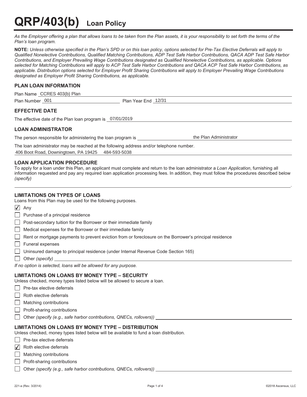# **QRP/403(b) Loan Policy**

As the Employer offering a plan that allows loans to be taken from the Plan assets, it is your responsibility to set forth the terms of the *Plan's loan program.* 

**NOTE:** *Unless otherwise specified in the Plan's SPD or on this loan policy, options selected for Pre-Tax Elective Deferrals will apply to Qualified Nonelective Contributions, Qualified Matching Contributions, ADP Test Safe Harbor Contributions, QACA ADP Test Safe Harbor Contributions, and Employer Prevailing Wage Contributions designated as Qualified Nonelective Contributions, as applicable. Options selected for Matching Contributions will apply to ACP Test Safe Harbor Contributions and QACA ACP Test Safe Harbor Contributions, as applicable. Distribution options selected for Employer Profit Sharing Contributions will apply to Employer Prevailing Wage Contributions designated as Employer Profit Sharing Contributions, as applicable.* 

#### **PLAN LOAN INFORMATION**

| ` Plan<br>403(b)<br>Plan<br>∵CRES<br>Name |                                       |
|-------------------------------------------|---------------------------------------|
| 001<br>Plan<br>n Number                   | 12/31<br>⊃lan<br>Year E<br><b>End</b> |

#### **EFFECTIVE DATE**

The effective date of the Plan loan program is 07/01/2019

#### **LOAN ADMINISTRATOR**

The person responsible for administering the loan program is \_\_ the Plan Administrator

The loan administrator may be reached at the following address and/or telephone number. 406 Boot Road, Downingtown, PA 19425 484-593-5038

#### **LOAN APPLICATION PROCEDURE**

To apply for a loan under this Plan, an applicant must complete and return to the loan administrator a *Loan Application*, furnishing all information requested and pay any required loan application processing fees. In addition, they must follow the procedures described below *(specify)* 

#### **LIMITATIONS ON TYPES OF LOANS**

Loans from this Plan may be used for the following purposes.

- $\sqrt{}$  Any
- $\Box$  Purchase of a principal residence
- Post-secondary tuition for the Borrower or their immediate family
- Medical expenses for the Borrower or their immediate family
- Rent or mortgage payments to prevent eviction from or foreclosure on the Borrower's principal residence
- **Funeral expenses**
- $\Box$  Uninsured damage to principal residence (under Internal Revenue Code Section 165)
- Other *(specify)*

*If no option is selected, loans will be allowed for any purpose.* 

#### **LIMITATIONS ON LOANS BY MONEY TYPE – SECURITY**

Unless checked, money types listed below will be allowed to secure a loan.

- $\Box$  Pre-tax elective deferrals
- Roth elective deferrals
- $\Box$  Matching contributions
- **Profit-sharing contributions**
- Other *(specify (e.g., safe harbor contributions, QNECs, rollovers))*

#### **LIMITATIONS ON LOANS BY MONEY TYPE – DISTRIBUTION**

Unless checked, money types listed below will be available to fund a loan distribution.

- $\Box$  Pre-tax elective deferrals
- $\overline{\mathcal{L}}$  Roth elective deferrals
- | | Matching contributions
- $\Box$  Profit-sharing contributions
- Other *(specify (e.g., safe harbor contributions, QNECs, rollovers))*

.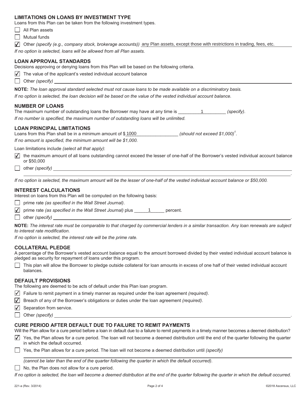#### **LIMITATIONS ON LOANS BY INVESTMENT TYPE**

Loans from this Plan can be taken from the following investment types.

- $\Box$  All Plan assets
- $\Box$  Mutual funds
- ◯ Other *(specify (e.g., company stock, brokerage accounts))* any Plan assets, except those with restrictions in trading, fees, etc.

*If no option is selected, loans will be allowed from all Plan assets.* 

#### **LOAN APPROVAL STANDARDS**

Decisions approving or denying loans from this Plan will be based on the following criteria.

- $\overline{\sqrt{ }}$  The value of the applicant's vested individual account balance
- Other *(specify)*

**NOTE:** *The loan approval standard selected must not cause loans to be made available on a discriminatory basis. If no option is selected, the loan decision will be based on the value of the vested individual account balance.* 

#### **NUMBER OF LOANS**

The maximum number of outstanding loans the Borrower may have at any time is \_\_\_\_ *If no number is specified, the maximum number of outstanding loans will be unlimited.*  1 (specify).

#### **LOAN PRINCIPAL LIMITATIONS**

Loans from this Plan shall be in a minimum amount of  $$1000$  *(should not exceed \$1,000)<sup>1</sup>*  $\sim$  (should not exceed \$1,000)<sup>1</sup>.

*If no amount is specified, the minimum amount will be \$1,000.* 

Loan limitations include *(select all that apply)*:

- $\blacktriangledown$  the maximum amount of all loans outstanding cannot exceed the lesser of one-half of the Borrower's vested individual account balance or \$50,000
- other *(specify)*

*If no option is selected, the maximum amount will be the lesser of one-half of the vested individual account balance or \$50,000.* 

#### **INTEREST CALCULATIONS**

Interest on loans from this Plan will be computed on the following basis:

- prime rate *(as specified in the Wall Street Journal)*.
- $\overline{\angle}$  prime rate *(as specified in the Wall Street Journal)* plus \_\_\_\_\_\_\_\_\_\_\_\_\_\_ percent.
- other *(specify)* .

**NOTE:** *The interest rate must be comparable to that charged by commercial lenders in a similar transaction. Any loan renewals are subject to interest rate modification.* 

*If no option is selected, the interest rate will be the prime rate.* 

#### **COLLATERAL PLEDGE**

A percentage of the Borrower's vested account balance equal to the amount borrowed divided by their vested individual account balance is pledged as security for repayment of loans under this program.

This plan will allow the Borrower to pledge outside collateral for loan amounts in excess of one half of their vested individual account balances.

#### **DEFAULT PROVISIONS**

The following are deemed to be acts of default under this Plan loan program.

- Failure to remit payment in a timely manner as required under the loan agreement *(required)*. ✓
- Breach of any of the Borrower's obligations or duties under the loan agreement *(required)*. ✓ ✔
- $\sqrt{\phantom{a}}$  Separation from service.
- Other *(specify)* .

#### **CURE PERIOD AFTER DEFAULT DUE TO FAILURE TO REMIT PAYMENTS**

Will the Plan allow for a cure period before a loan in default due to a failure to remit payments in a timely manner becomes a deemed distribution?

 $\overline{\blacktriangle}$  Yes, the Plan allows for a cure period. The loan will not become a deemed distribution until the end of the quarter following the quarter in which the default occurred.

Yes, the Plan allows for a cure period. The loan will not become a deemed distribution until *(specify)*

*(cannot be later than the end of the quarter following the quarter in which the default occurred)*.

No, the Plan does not allow for a cure period.

*If no option is selected, the loan will become a deemed distribution at the end of the quarter following the quarter in which the default occurred.* 

.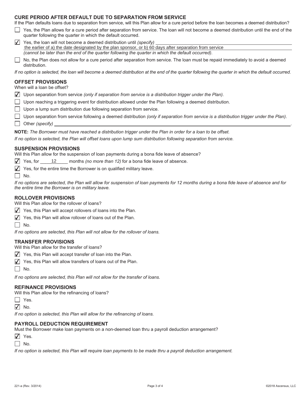#### **CURE PERIOD AFTER DEFAULT DUE TO SEPARATION FROM SERVICE**

If the Plan defaults loans due to separation from service, will this Plan allow for a cure period before the loan becomes a deemed distribution?

- Yes, the Plan allows for a cure period after separation from service. The loan will not become a deemed distribution until the end of the quarter following the quarter in which the default occurred.
- Yes, the loan will not become a deemed distribution until *(specify) (cannot be later than the end of the quarter following the quarter in which the default occurred)*.  $\sqrt{}$ the earlier of a) the date designated by the plan sponsor, or b) 60 days after separation from service
- No, the Plan does not allow for a cure period after separation from service. The loan must be repaid immediately to avoid a deemed distribution.

*If no option is selected, the loan will become a deemed distribution at the end of the quarter following the quarter in which the default occurred.* 

#### **OFFSET PROVISIONS**

When will a loan be offset?

- Upon separation from service *(only if separation from service is a distribution trigger under the Plan)*. ✔
- $\Box$  Upon reaching a triggering event for distribution allowed under the Plan following a deemed distribution.
- Upon a lump sum distribution due following separation from service.
- Upon separation from service following a deemed distribution *(only if separation from service is a distribution trigger under the Plan)*.
- Other *(specify)* .

**NOTE:** *The Borrower must have reached a distribution trigger under the Plan in order for a loan to be offset.* 

*If no option is selected, the Plan will offset loans upon lump sum distribution following separation from service.* 

#### **SUSPENSION PROVISIONS**

Will this Plan allow for the suspension of loan payments during a bona fide leave of absence?

- months *(no more than 12)* for a bona fide leave of absence.  $\sqrt{ }$  Yes, for 12
- $\sqrt{ }$  Yes, for the entire time the Borrower is on qualified military leave.
- $\Box$  No.

*If no options are selected, the Plan will allow for suspension of loan payments for 12 months during a bona fide leave of absence and for the entire time the Borrower is on military leave.* 

#### **ROLLOVER PROVISIONS**

Will this Plan allow for the rollover of loans?

- $\sqrt{ }$  Yes, this Plan will accept rollovers of loans into the Plan.
- $\sqrt{ }$  Yes, this Plan will allow rollover of loans out of the Plan.
- $\Box$  No.

*If no options are selected, this Plan will not allow for the rollover of loans.* 

#### **TRANSFER PROVISIONS**

Will this Plan allow for the transfer of loans?

- $\sqrt{ }$  Yes, this Plan will accept transfer of loan into the Plan.
- $\sqrt{ }$  Yes, this Plan will allow transfers of loans out of the Plan.
- $\Box$  No.

*If no options are selected, this Plan will not allow for the transfer of loans.* 

#### **REFINANCE PROVISIONS**

Will this Plan allow for the refinancing of loans?

- $\Box$  Yes.
- $\sqrt{ }$  No.

*If no option is selected, this Plan will allow for the refinancing of loans.* 

#### **PAYROLL DEDUCTION REQUIREMENT**

Must the Borrower make loan payments on a non-deemed loan thru a payroll deduction arrangement?

- $\sqrt{ }$  Yes.
- $\Box$  No.

*If no option is selected, this Plan will require loan payments to be made thru a payroll deduction arrangement.*